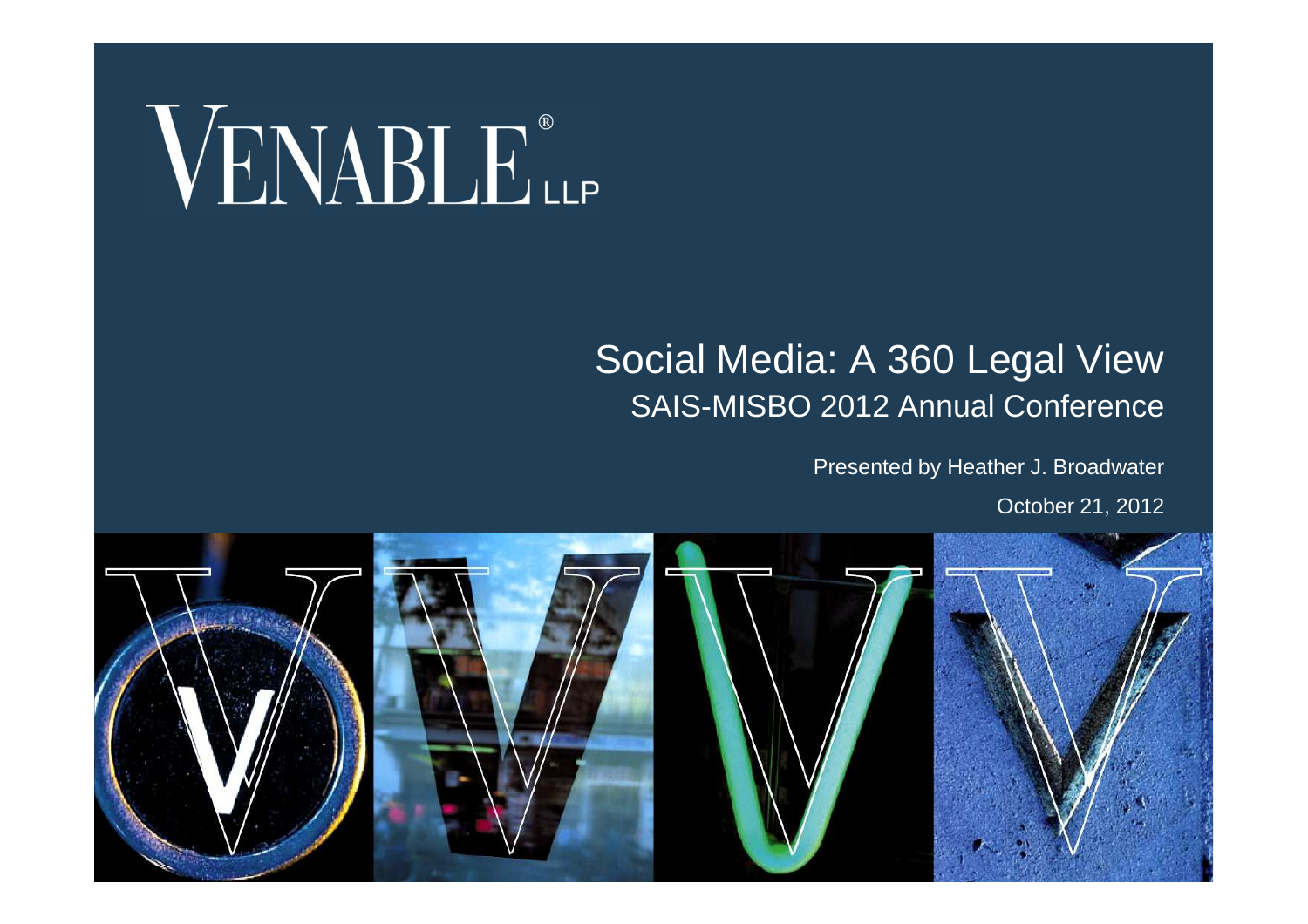

#### Social Media: A 360 Legal View SAIS-MISBO 2012 Annual Conference

#### Presented by Heather J. Broadwater

October 21, 2012

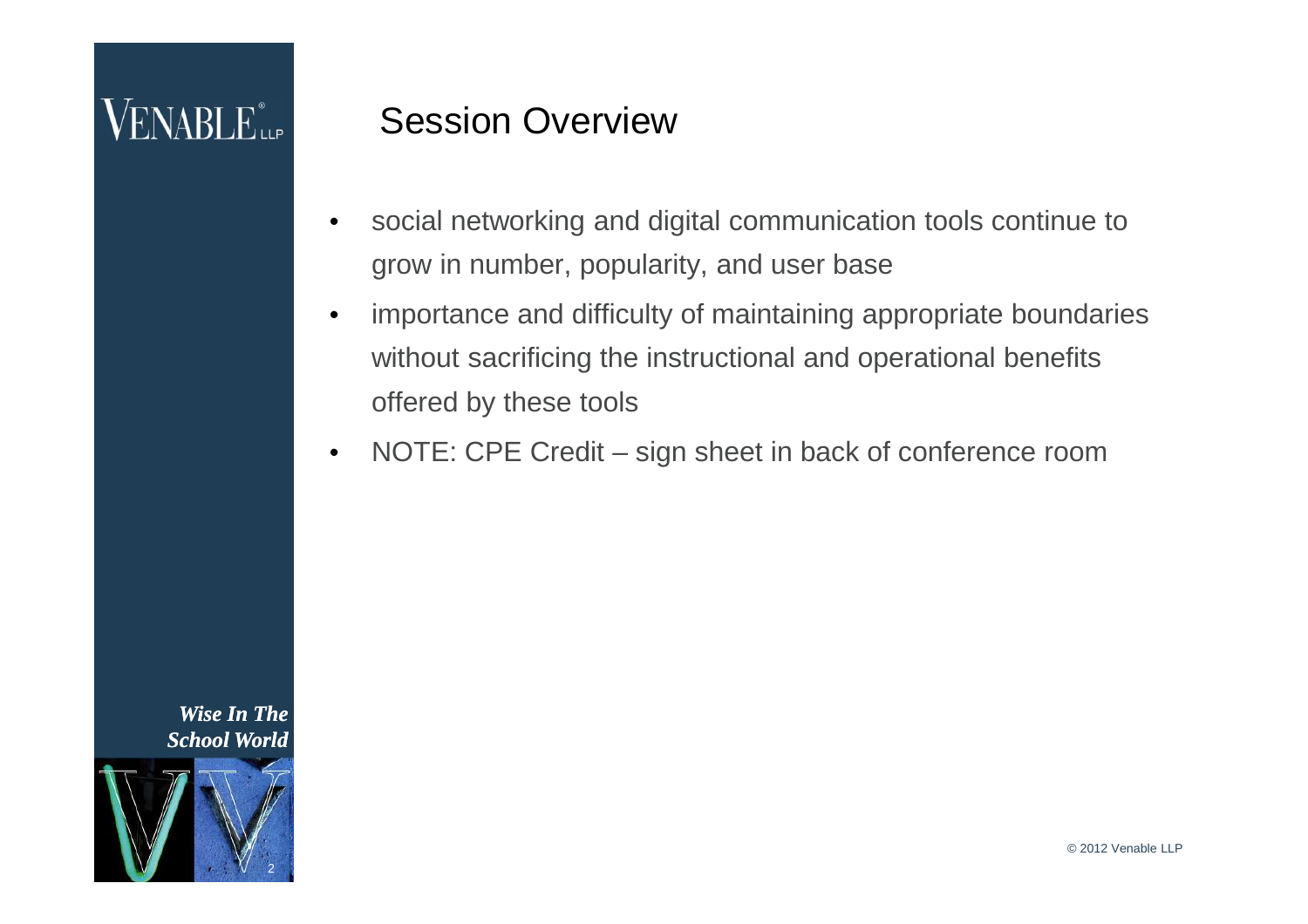### $VENABLE_{\tiny{\textsf{LP}}}^*$

#### Session Overview

- social networking and digital communication tools continue to grow in number, popularity, and user base
- importance and difficulty of maintaining appropriate boundaries without sacrificing the instructional and operational benefits offered by these tools
- NOTE: CPE Credit sign sheet in back of conference room

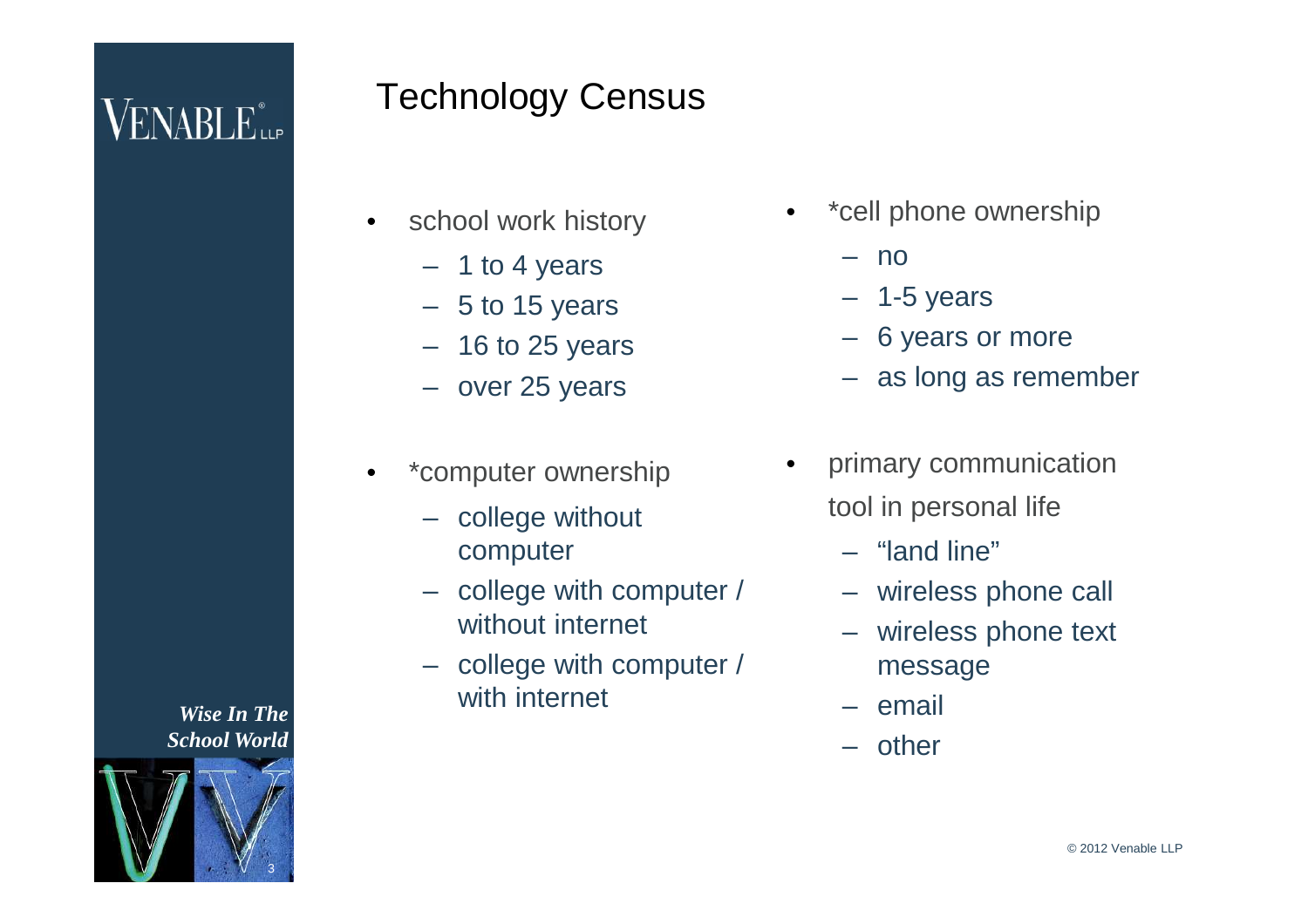### Technology Census

- school work history
	- 1 to 4 years
	- $-5$  to 15 years
	- $-16$  to 25 years
	- over 25 years
- \*computer ownership
	- college without computer
	- college with computer / without internet
	- college with computer / with internet
- \*cell phone ownership
	- no
	- $-$  1-5 years
	- 6 years or more
	- as long as remember
- primary communication tool in personal life
	- "land line"
	- wireless phone call
	- wireless phone text message
	- email
	- other

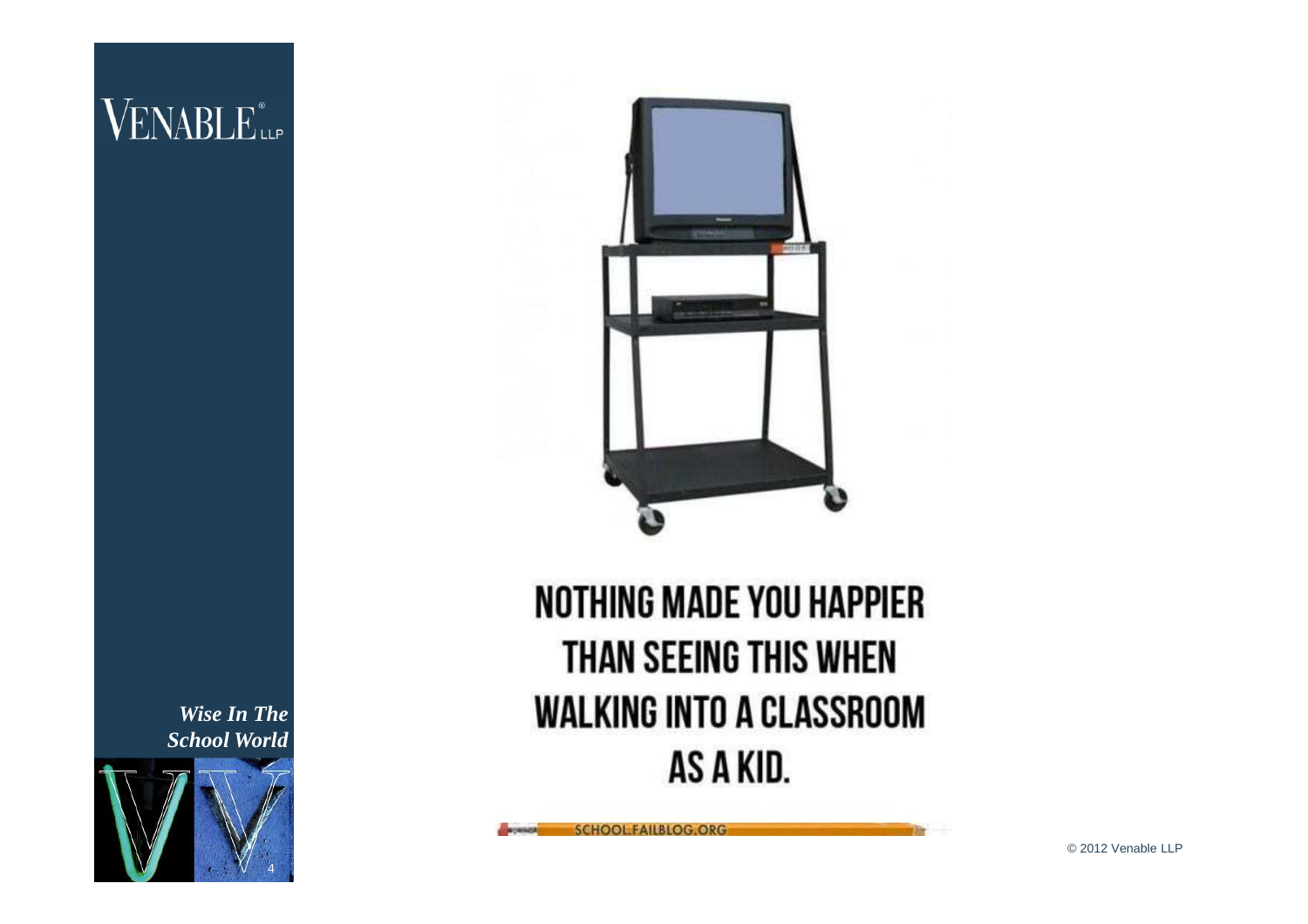### $\rm VENABLE$ ilf

*Wise In The School World*





### **NOTHING MADE YOU HAPPIER** THAN SEEING THIS WHEN **WALKING INTO A CLASSROOM** AS A KID.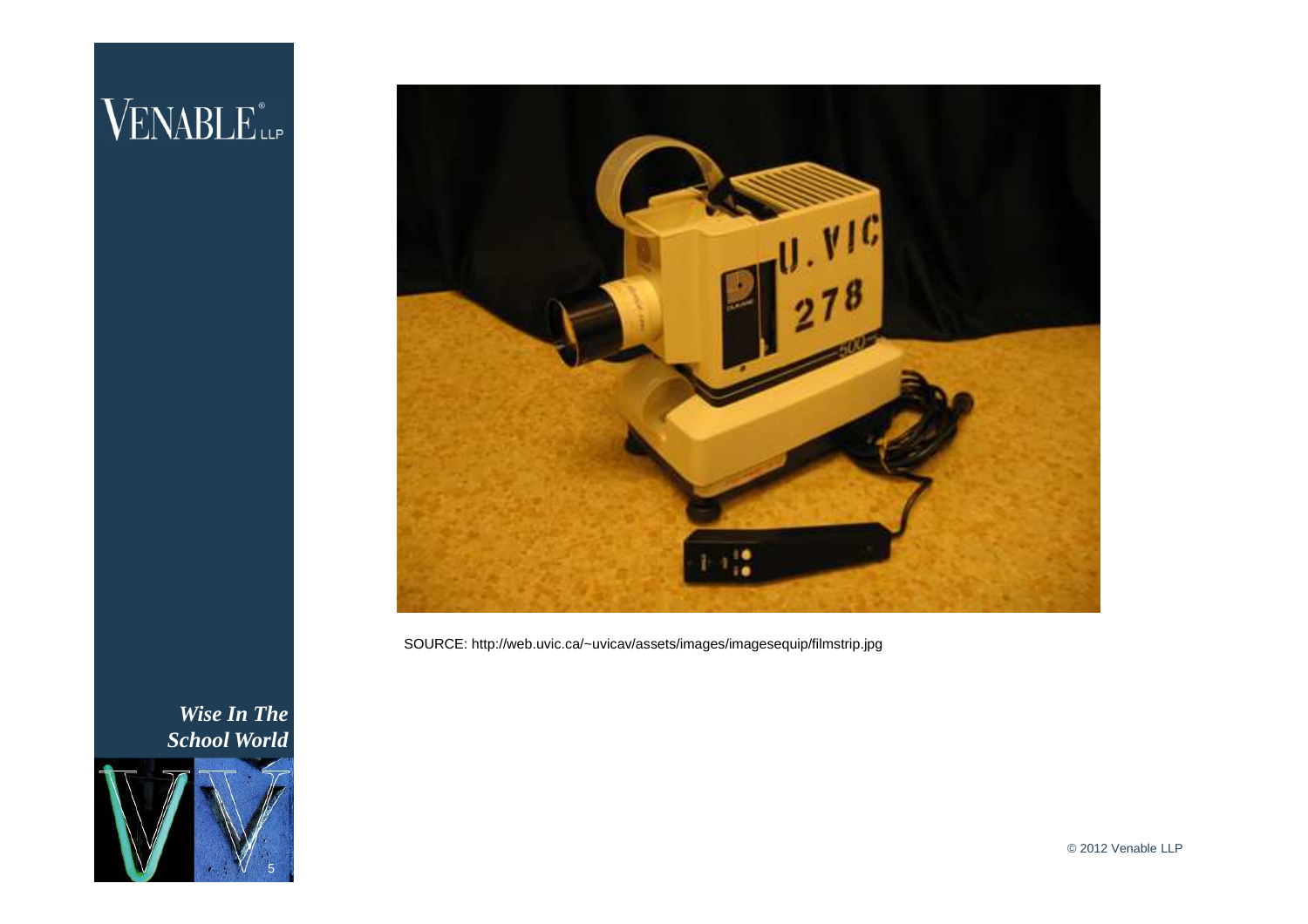### VENABLE<sup>®</sup>



SOURCE: http://web.uvic.ca/~uvicav/assets/images/imagesequip/filmstrip.jpg

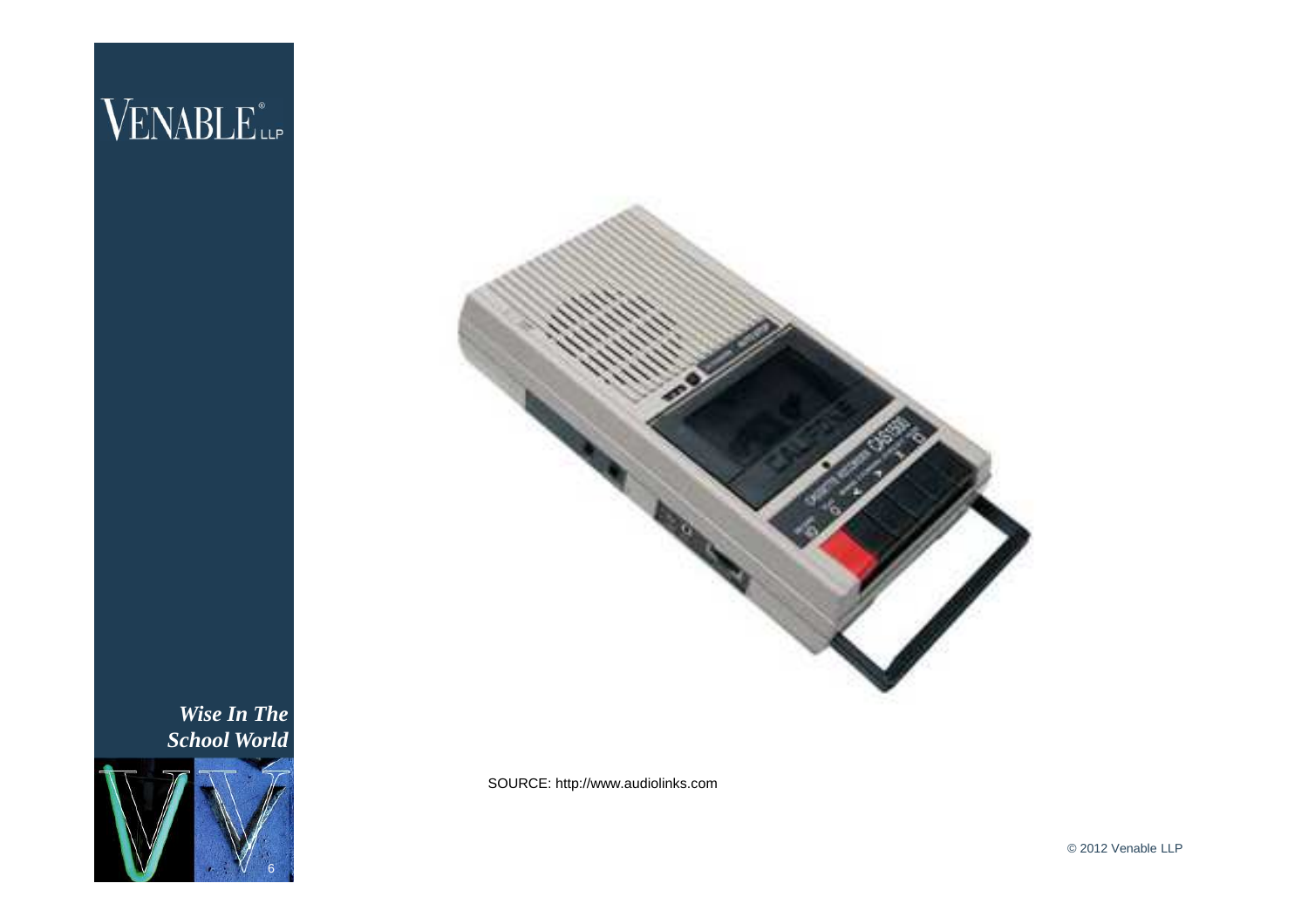

*Wise In The School World*



SOURCE: http://www.audiolinks.com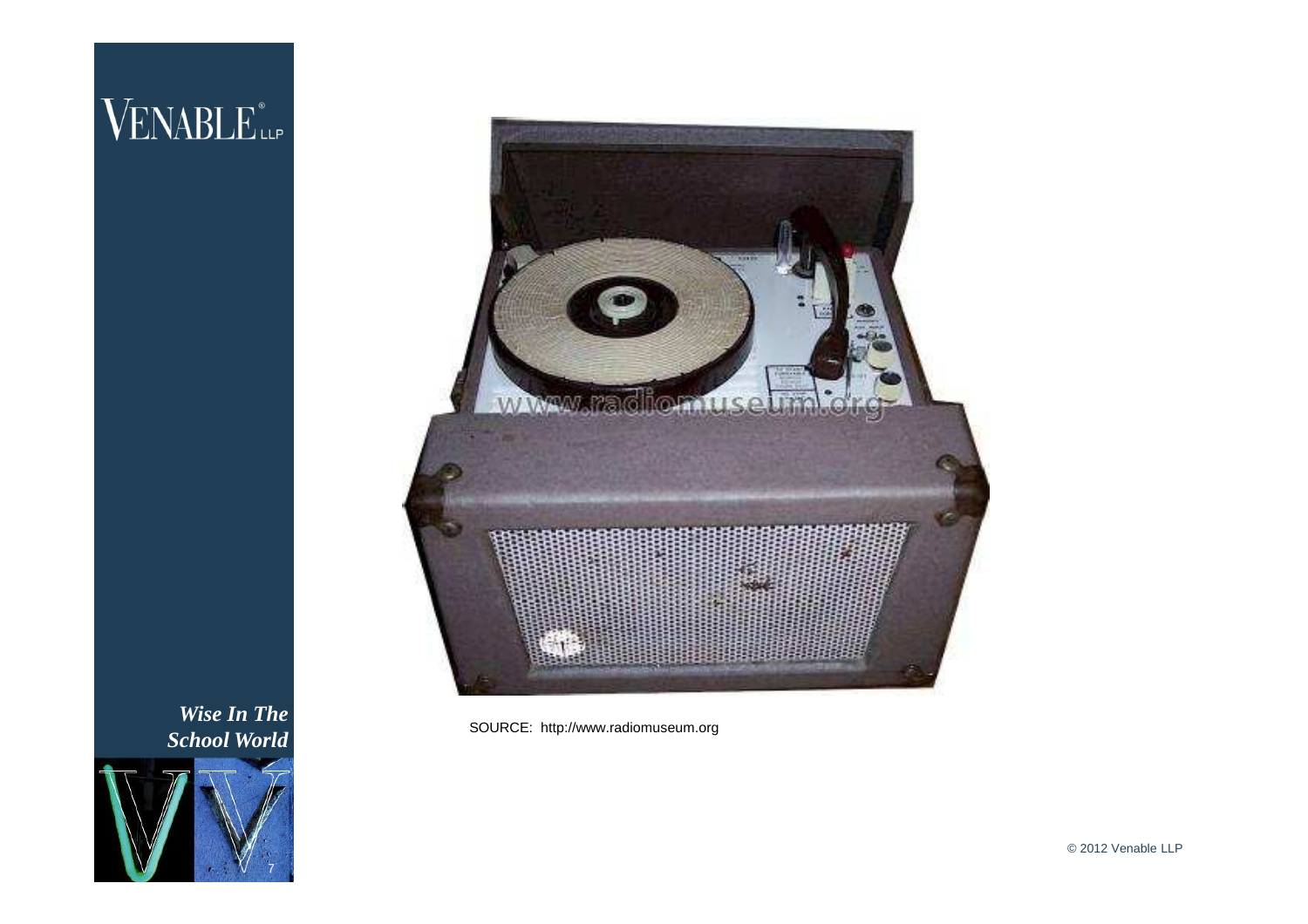## VENABLE<sup>®</sup>



*Wise In The School World*



SOURCE: http://www.radiomuseum.org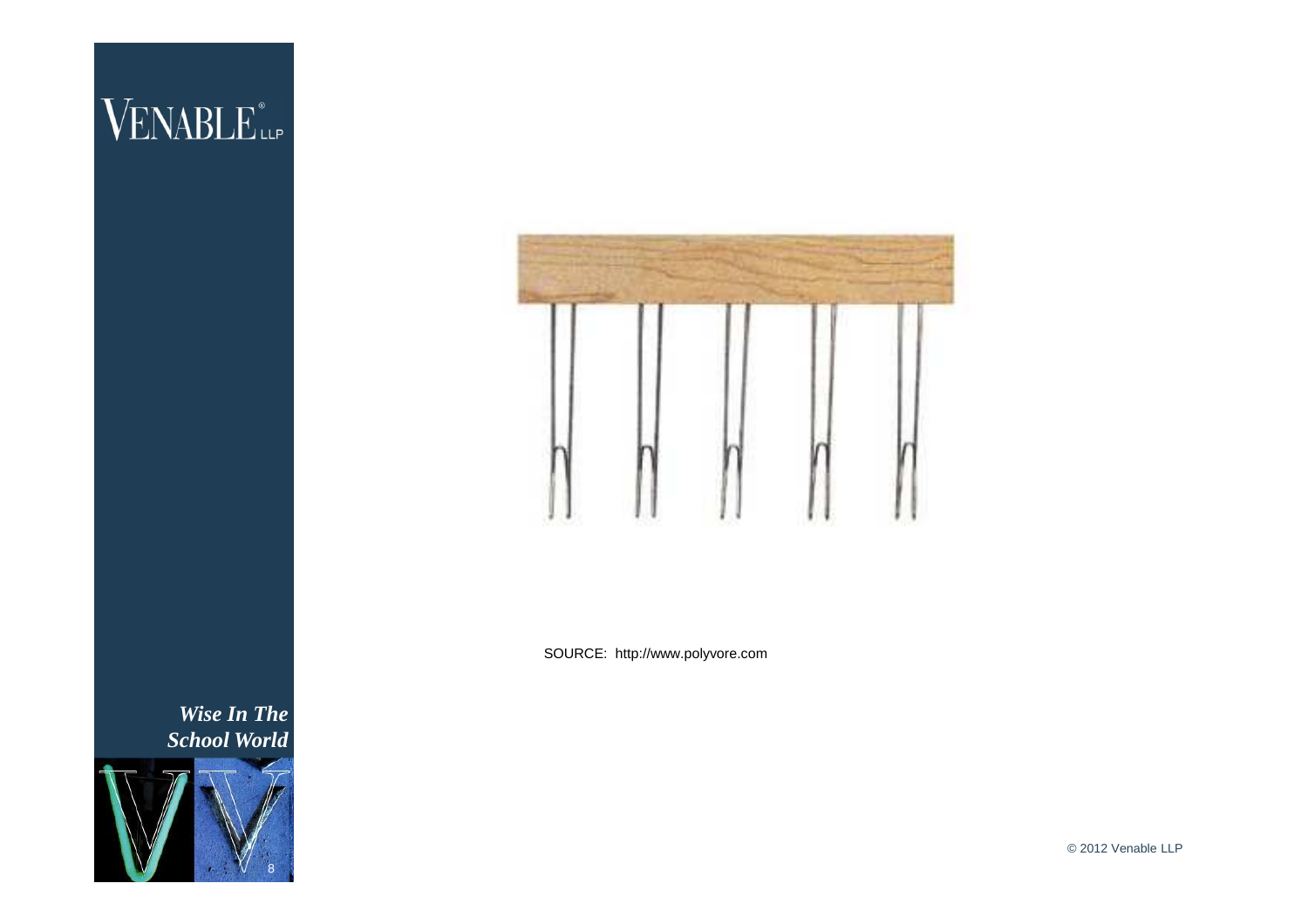

SOURCE: http://www.polyvore.com

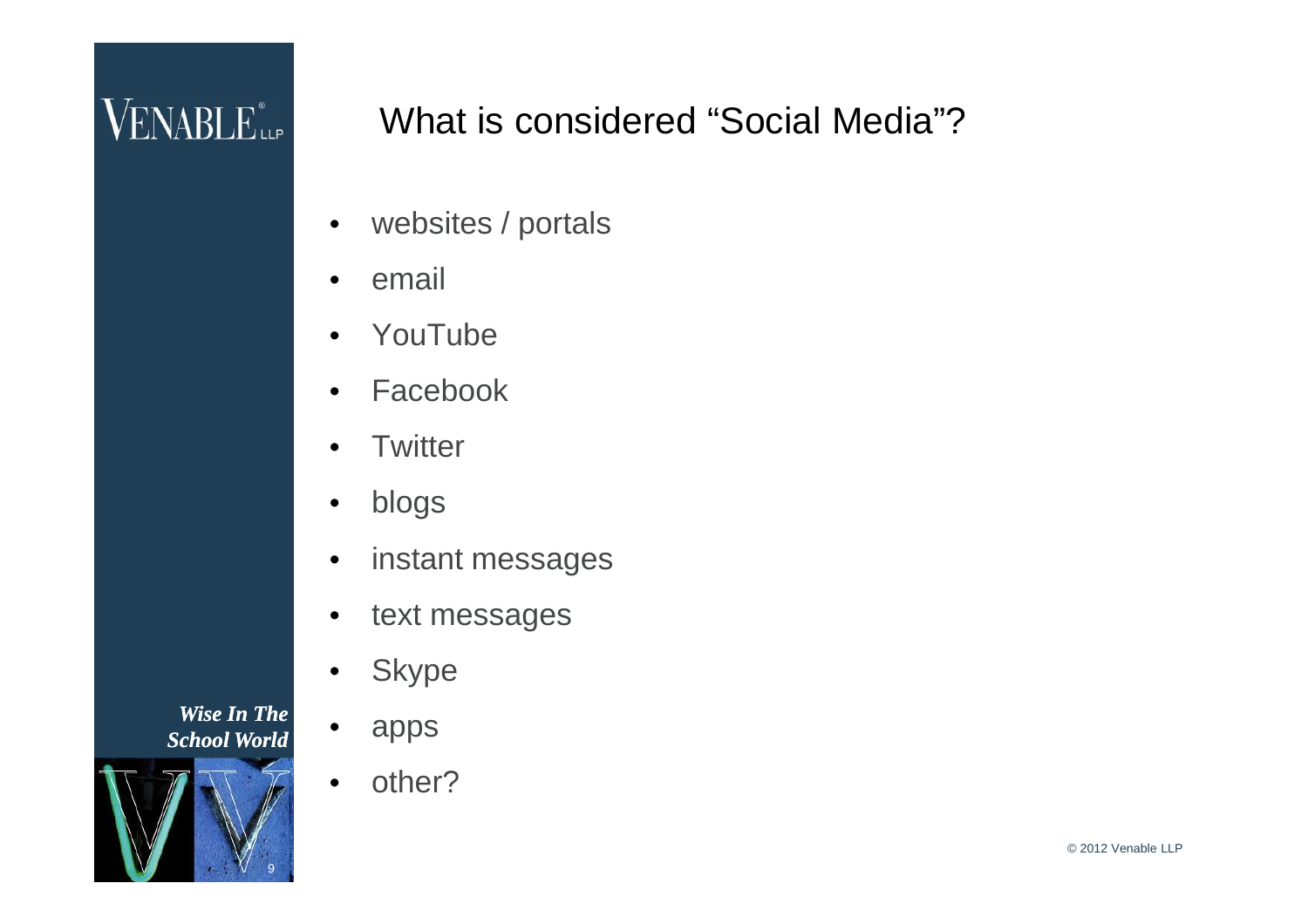### What is considered "Social Media"?

- websites / portals
- email
- YouTube
- **Facebook**
- **Twitter**
- blogs
- instant messages
- text messages
- **Skype**
- apps
- other?

*Wise In The School World*

9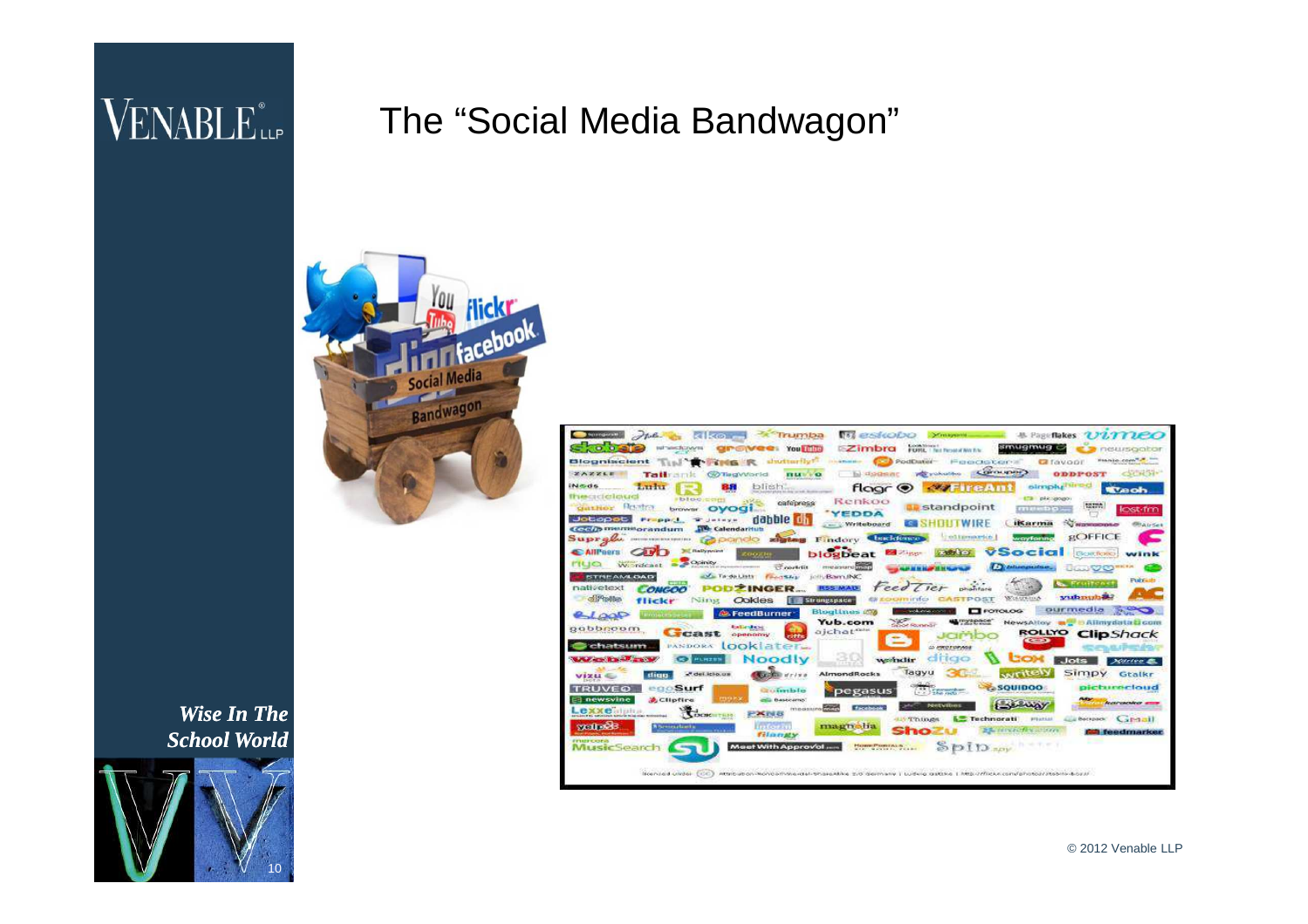#### The "Social Media Bandwagon"





| <b>Standards</b><br><b>TO establish</b><br>kilko —<br>Trumba<br><b><i>B. Page flakes ULITIEO</i></b><br>which -<br>Centagnistrii.                                                                                                            |
|----------------------------------------------------------------------------------------------------------------------------------------------------------------------------------------------------------------------------------------------|
| Lioch Sirver 1<br>smugmug <i>o</i><br><b>COMPOS</b><br>$\ge$ imbra<br>test wind function<br><b>GIP ONCE: You HIM</b><br>neuscater<br><b>FERRI</b> , I feet Personal World for                                                                |
| THE R unitarily! same ( ) PodDater FeedGlobers<br>Blanks core<br><b>Biogniscient</b><br><b>Carolynam</b>                                                                                                                                     |
| <b>COPPLICATION</b><br>$C_{21}$ = $C_{21}$ =<br><b>This change of the Contract</b><br>ズムズズも目<br><b>ODDPOST</b><br>and involved the<br><b>TELEVICE</b><br>Tallramk<br>Circ) Threaty tripicial                                                 |
| <b>MIGGS</b><br>eimply <sup>nees</sup> d<br>Ludu<br>blish.<br><b>BS</b><br>flagr $\circledast$<br><b><i><b>CONTING AIR</b></i></b><br>Weob.                                                                                                  |
| Prescudicionerd<br>the planspoper<br><b>blocked</b><br>Renkoo<br>cafepress                                                                                                                                                                   |
| <b>SETTA</b><br><b>Hoster</b><br>standpoint<br>CERT PEO 27<br>browsr OVOGI<br>municial<br><b>CAST-TYP</b><br>YEDDA                                                                                                                           |
| dabble dh<br>Jobooob<br><b>Photographic Rd</b><br>The County of the Second<br><b>ITT WIRE</b><br><b>iKarma</b><br><b><i><u>Systemapoud</u></i></b><br>- Writeboard<br><b>StairSet</b><br><b>TW</b> Calendarituti<br><b>COND members adum</b> |
| <b>ECIFFICE</b><br><b>STRAINWARTON</b><br>wayforina<br>$\overline{\phantom{a}}$<br>Findory Chaddones<br>Supresso commencement reproduced anatana                                                                                             |
| <b>Bill Blattyperint</b><br>VSocial<br><b>AHPROVE</b><br><b>Ballyman Langels of</b><br>Скологиясь<br>blogbeat<br>cooxine                                                                                                                     |
| Wordcast - Opinity<br>rua<br>erret aigear di quali di<br><b>CE contrilia</b><br><b>Communication</b><br>Aproximation Committee 6 to<br><b>Comment of the State of the State Council</b><br><b>JUD VO</b>                                     |
| <b>Solar Tarda Lists</b><br>idllyBarn.fNC<br><b>STREAMLOAD</b><br>1400510<br>Publicate                                                                                                                                                       |
| <b>No. Fruitenet</b><br>feed Tier<br>nativetext<br><b>RSS MADE</b><br>phanisma<br>PODZINGER<br><b>COMCCOO</b>                                                                                                                                |
| yuthorigh it.<br>Wasterling<br>of Phothes<br><b><i>excomindo</i></b> CASTPOST<br>Ookles<br>Strumespace-<br>flickr<br>Nitiat                                                                                                                  |
| ourmedia<br>welcavies cover at<br>$\Box$ FOTOLOG<br>Bloglines 250<br><b>ALFeedBurner</b><br>6000                                                                                                                                             |
| <b>Contract</b><br><b>WEITHERMORT</b><br>Yub.com<br>NewsAltoy and in Allmydata Licom<br><b>Radianavan</b><br>gobbnoom<br>ajchat                                                                                                              |
| <b>ROLLYO</b><br>ClipShack<br><b>STATISTICS</b><br><b>ODMINDING</b><br><b>CENT</b>                                                                                                                                                           |
| Chatsum<br>looklater.<br><b><i>PANDORA</i></b><br>@ PROTOPAGE                                                                                                                                                                                |
| <b>Walker Street, Square, Market Street, Toronto.</b><br>drigo<br>Noodly<br>wednelir<br><b>ECOM</b><br>PLAZES<br>$I$ ots<br><b>Scotting Ill.</b>                                                                                             |
| Tagyu<br>Simpy<br><b>CONTRACTOR</b><br>att.def.kplo.us<br>AlmondRocks<br><b>AIT ITEN</b><br>Gtalkr<br>dign<br>$V12U =$                                                                                                                       |
| aichmerloud<br><b>ASQUIDOO</b><br>egoSurf<br>TRUVEO<br><b>The Property of Contract</b><br><b>Chairmhim</b><br>pegasus                                                                                                                        |
| <b>EDIT P.X</b><br><b>EB</b> newsvine<br><b>ACHofire</b><br>Baskeamo'<br>Acceleration and<br><b>SALANDY</b><br><b>NHEVIDAE</b><br>measured<br>facebook                                                                                       |
| <b>Lexxe</b> alpha<br>SOCIOTER<br><b>DK I'VE 43</b><br>Line of the materials in the last state of the commission of<br>Capacit<br>Things<br><b>PFI uchain</b><br>Botapack.<br>Technorati                                                     |
| wait octs<br><b>Ara Cour Past</b><br>magnolia<br><b>Biberingelands</b><br>the manufacture controls.<br><b>THEFT</b><br>n To<br><b>E</b> feedmarker<br><b><i>filang</i>y</b>                                                                  |
| <b>Financial actionals</b><br>HOWER POWERS IN<br>Meet With Approval                                                                                                                                                                          |
| <b>MusicSearc</b><br>C11Q<br>$\overline{321}$                                                                                                                                                                                                |
|                                                                                                                                                                                                                                              |
| Reenand under CCC. Attribution-Rondomavier-thangeline typically demany   Ludwig and the critics com/photographs/sport-bord                                                                                                                   |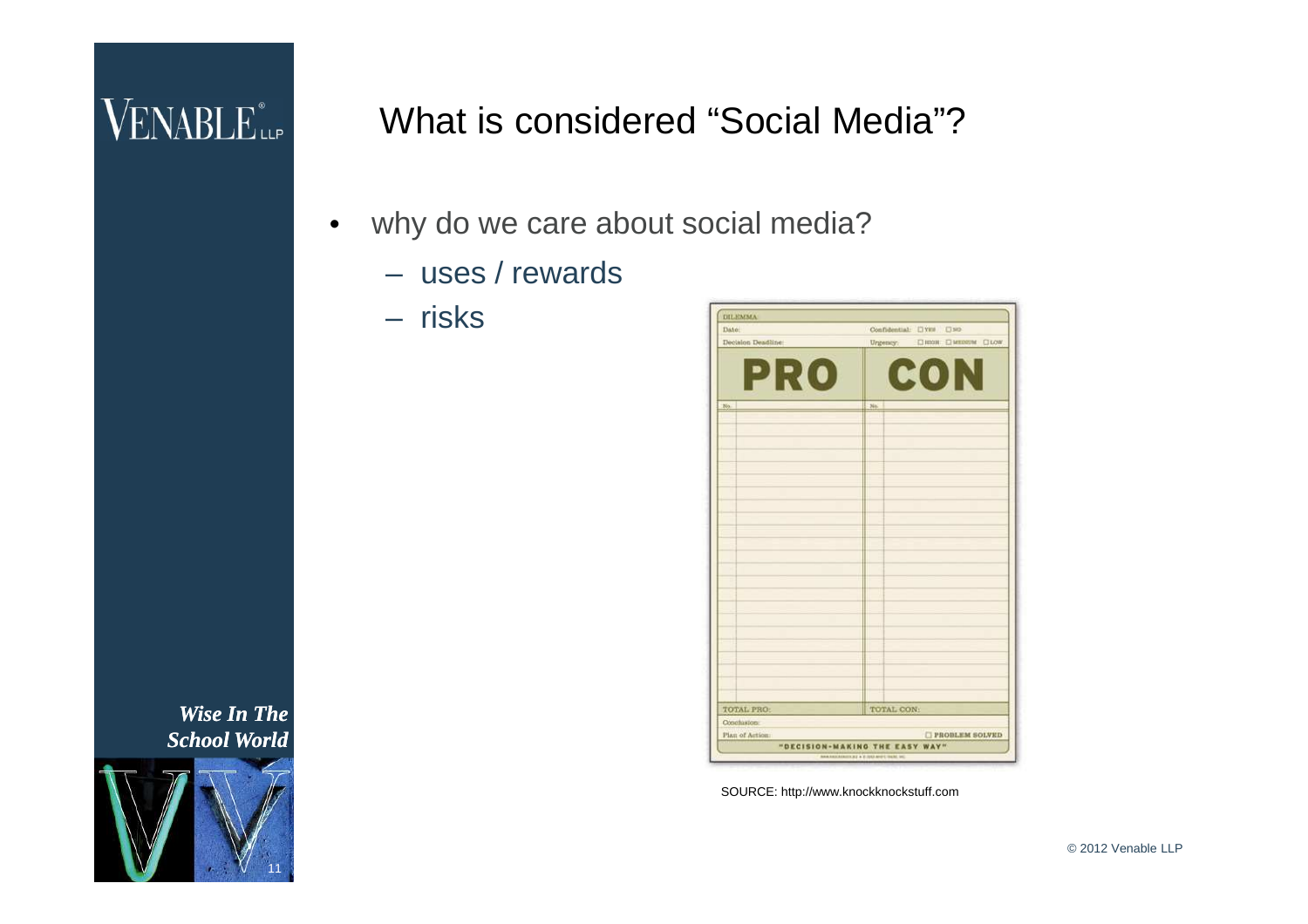### VENABLE<sup>®</sup>

What is considered "Social Media"?

- why do we care about social media?
	- uses / rewards
	- risks



SOURCE: http://www.knockknockstuff.com

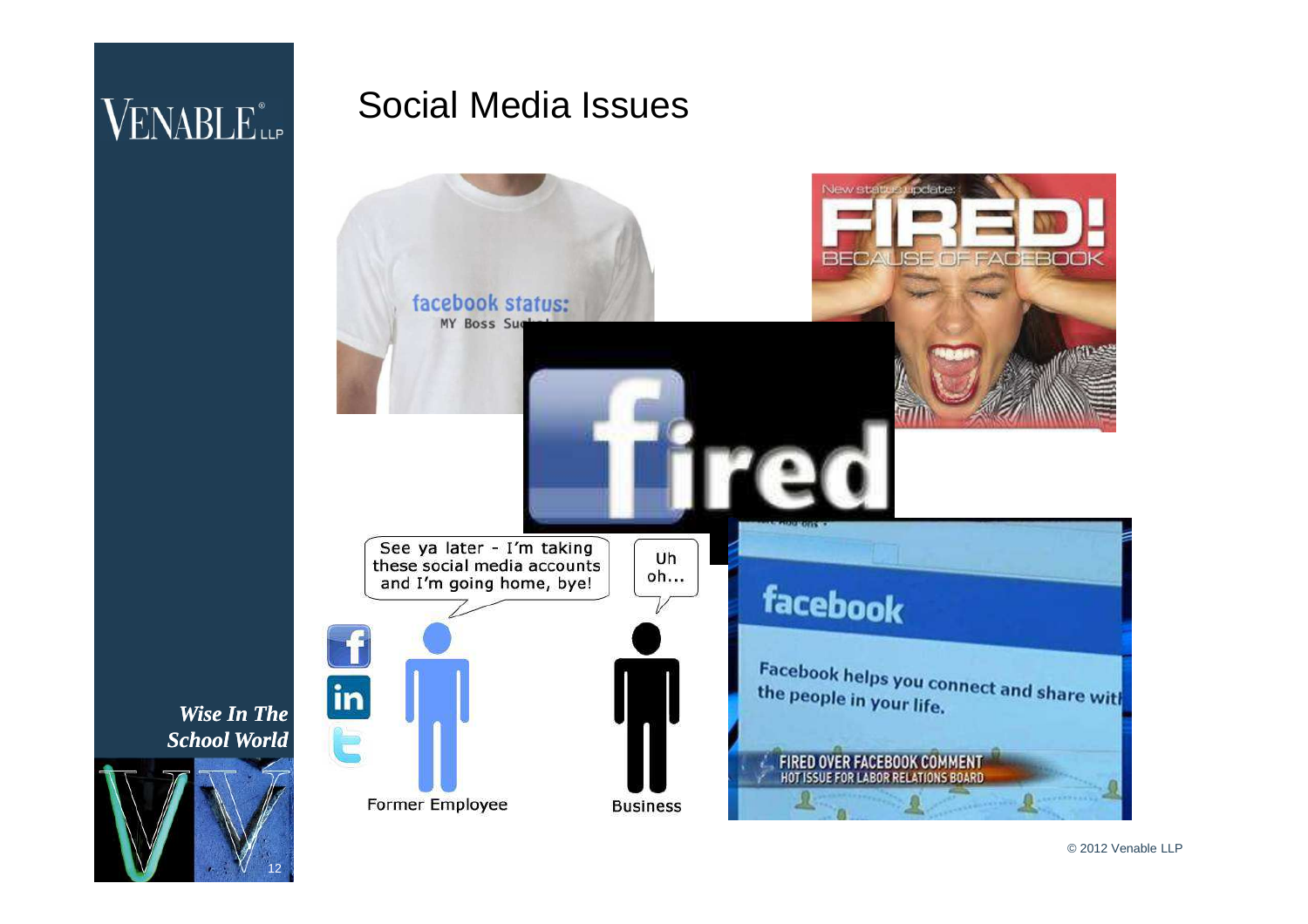#### Social Media Issues



*Wise In The School World*

12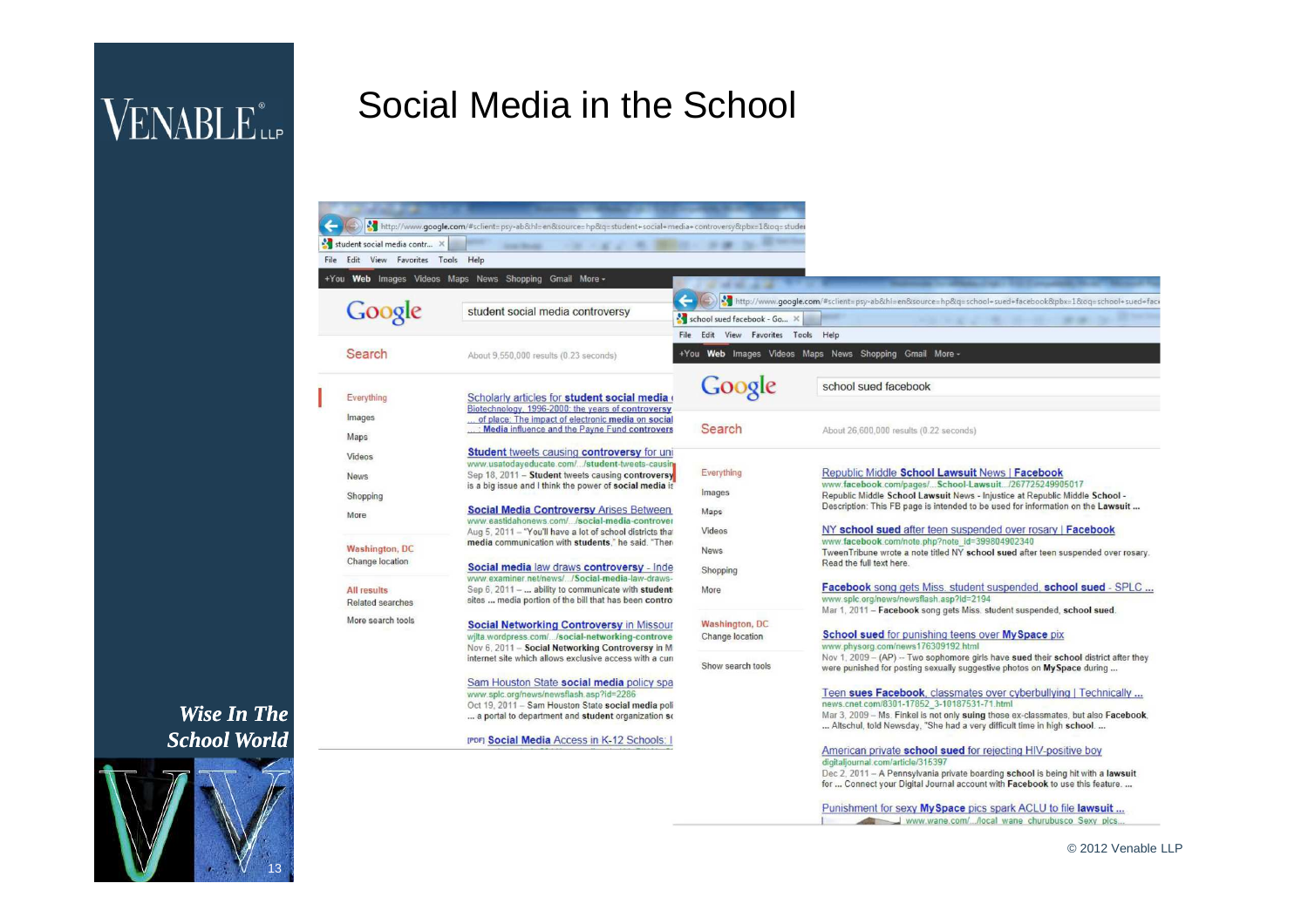## VENABLE<sup>®</sup>

### Social Media in the School

| student social media contr          |                                                                                                                  |                                          |                                                                                                                                                                 |
|-------------------------------------|------------------------------------------------------------------------------------------------------------------|------------------------------------------|-----------------------------------------------------------------------------------------------------------------------------------------------------------------|
| File Edit View Favorites Tools Help |                                                                                                                  |                                          |                                                                                                                                                                 |
|                                     | +You Web Images Videos Maps News Shopping Gmail More -                                                           |                                          |                                                                                                                                                                 |
|                                     |                                                                                                                  | 45.90<br><b>COLLEGE</b>                  |                                                                                                                                                                 |
| Google                              | student social media controversy                                                                                 |                                          | http://www.google.com/#sclient=psy-ab&hl=en&source=hp&q=school+sued+facebook&pbx=1&oq=school+sued+face                                                          |
|                                     |                                                                                                                  | school sued facebook - Go X              |                                                                                                                                                                 |
|                                     |                                                                                                                  | Edit View Favorites Tools Help<br>File   |                                                                                                                                                                 |
| Search                              | About 9,550,000 results (0.23 seconds)                                                                           |                                          | +You Web Images Videos Maps News Shopping Gmail More -                                                                                                          |
| Everything                          | Scholarly articles for student social media                                                                      | Google                                   | school sued facebook                                                                                                                                            |
|                                     | Biotechnology, 1996-2000; the years of controversy                                                               |                                          |                                                                                                                                                                 |
| Images                              | of place: The impact of electronic media on social<br>Media influence and the Payne Fund controvers              | Search                                   | About 26,600,000 results (0.22 seconds)                                                                                                                         |
| Maps                                |                                                                                                                  |                                          |                                                                                                                                                                 |
| Videos                              | <b>Student tweets causing controversy for uni</b>                                                                |                                          |                                                                                                                                                                 |
| <b>News</b>                         | www.usatodayeducate.com//student-tweets-causing<br>Sep 18, 2011 - Student tweets causing controversy             | Everything                               | <b>Republic Middle School Lawsuit News   Facebook</b>                                                                                                           |
|                                     | is a big issue and I think the power of social media is                                                          | Images                                   | www.facebook.com/pages/School-Lawsuit/267725249905017                                                                                                           |
| Shopping                            | <b>Social Media Controversy Arises Between</b>                                                                   |                                          | Republic Middle School Lawsuit News - Injustice at Republic Middle School -<br>Description: This FB page is intended to be used for information on the Lawsuit  |
| More                                | www.eastidahonews.com//social-media-controver                                                                    | Maps                                     |                                                                                                                                                                 |
|                                     | Aug 5, 2011 - "You'll have a lot of school districts that<br>media communication with students." he said. "There | Videos                                   | NY school sued after teen suspended over rosary   Facebook<br>www.facebook.com/note.php?note_id=399804902340                                                    |
| <b>Washington, DC</b>               |                                                                                                                  | <b>News</b>                              | TweenTribune wrote a note titled NY school sued after teen suspended over rosary.                                                                               |
| Change location                     | Social media law draws controversy - Inde                                                                        | Shopping                                 | Read the full text here                                                                                                                                         |
| <b>All results</b>                  | www.examiner.net/news//Social-media-law-draws-<br>Sep 6, 2011 -  ability to communicate with student:            | More                                     | <b>Facebook</b> song gets Miss, student suspended, school sued - SPLC                                                                                           |
| Related searches                    | sites  media portion of the bill that has been contro-                                                           |                                          | www.splc.org/news/newsflash.asp?id=2194                                                                                                                         |
| More search tools                   |                                                                                                                  |                                          | Mar 1, 2011 - Facebook song gets Miss. student suspended, school sued.                                                                                          |
|                                     | <b>Social Networking Controversy in Missour</b><br>wilta.wordpress.com//social-networking-controve               | <b>Washington, DC</b><br>Change location | <b>School sued for punishing teens over MySpace pix</b>                                                                                                         |
|                                     | Nov 6, 2011 - Social Networking Controversy in M                                                                 |                                          | www.physorg.com/news176309192.html                                                                                                                              |
|                                     | internet site which allows exclusive access with a curi                                                          | Show search tools                        | Nov 1, 2009 - (AP) -- Two sophomore girls have sued their school district after they<br>were punished for posting sexually suggestive photos on My Space during |
|                                     | Sam Houston State social media policy spa                                                                        |                                          |                                                                                                                                                                 |
|                                     | www.splc.org/news/newsflash.asp?id=2286                                                                          |                                          | Teen sues Facebook, classmates over cyberbullying   Technically                                                                                                 |
|                                     | Oct 19, 2011 - Sam Houston State social media poli<br>a portal to department and student organization so         |                                          | news.cnet.com/8301-17852 3-10187531-71.html<br>Mar 3, 2009 - Ms. Finkel is not only suing those ex-classmates, but also Facebook,                               |
|                                     |                                                                                                                  |                                          | Altschul, told Newsday, "She had a very difficult time in high school.                                                                                          |
|                                     | <b>IPDFI Social Media Access in K-12 Schools:</b>                                                                |                                          |                                                                                                                                                                 |
|                                     |                                                                                                                  |                                          | American private school sued for rejecting HIV-positive boy<br>digitaliournal.com/article/315397                                                                |
|                                     |                                                                                                                  |                                          | Dec 2, 2011 - A Pennsylvania private boarding school is being hit with a lawsuit                                                                                |
|                                     |                                                                                                                  |                                          | for  Connect your Digital Journal account with Facebook to use this feature.                                                                                    |
|                                     |                                                                                                                  |                                          | Punishment for sexy My Space pics spark ACLU to file lawsuit                                                                                                    |

www.wane.com/.../local wane churubusco Sexy pics.

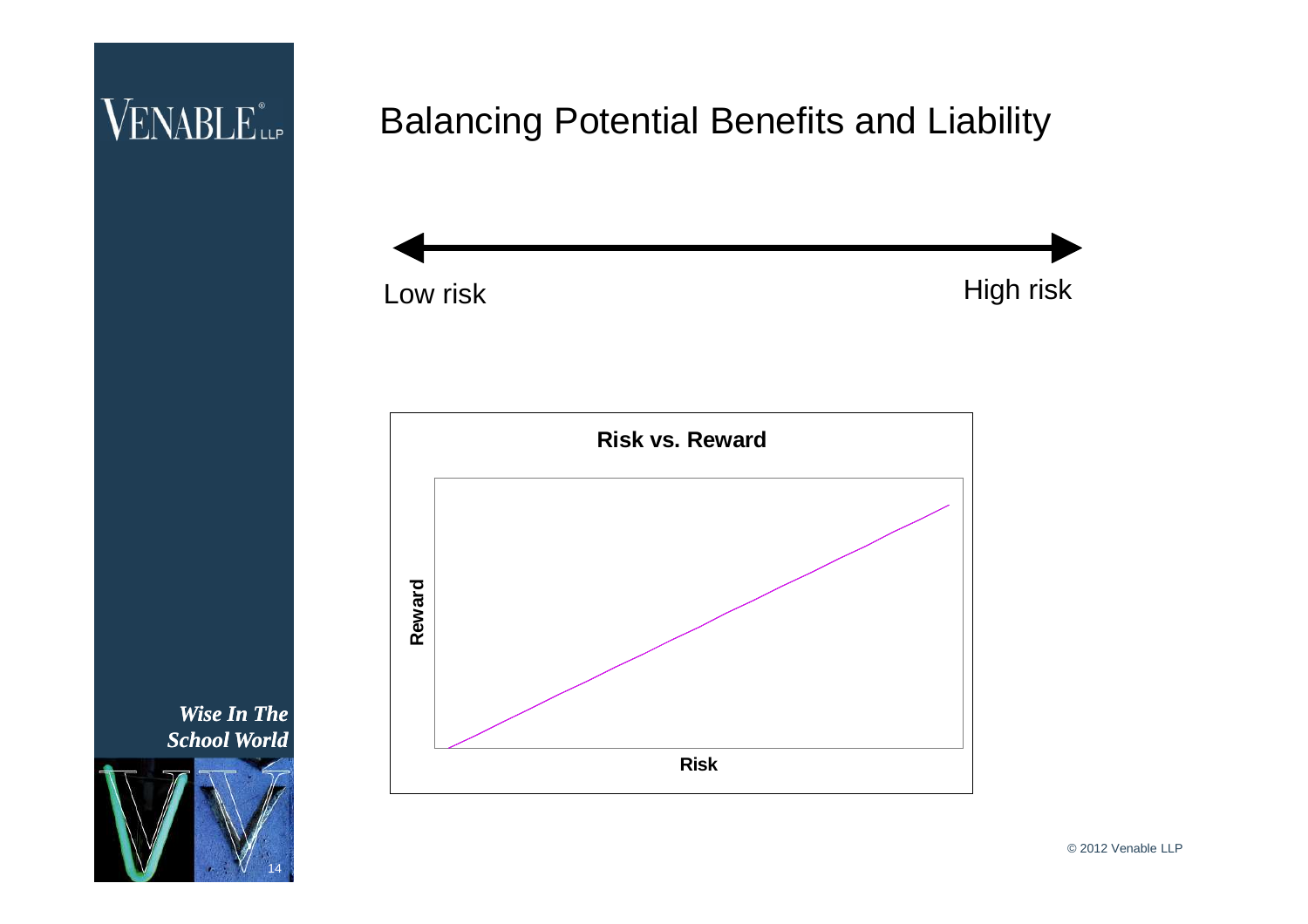### VENABLE<sup>®</sup>

### Balancing Potential Benefits and Liability





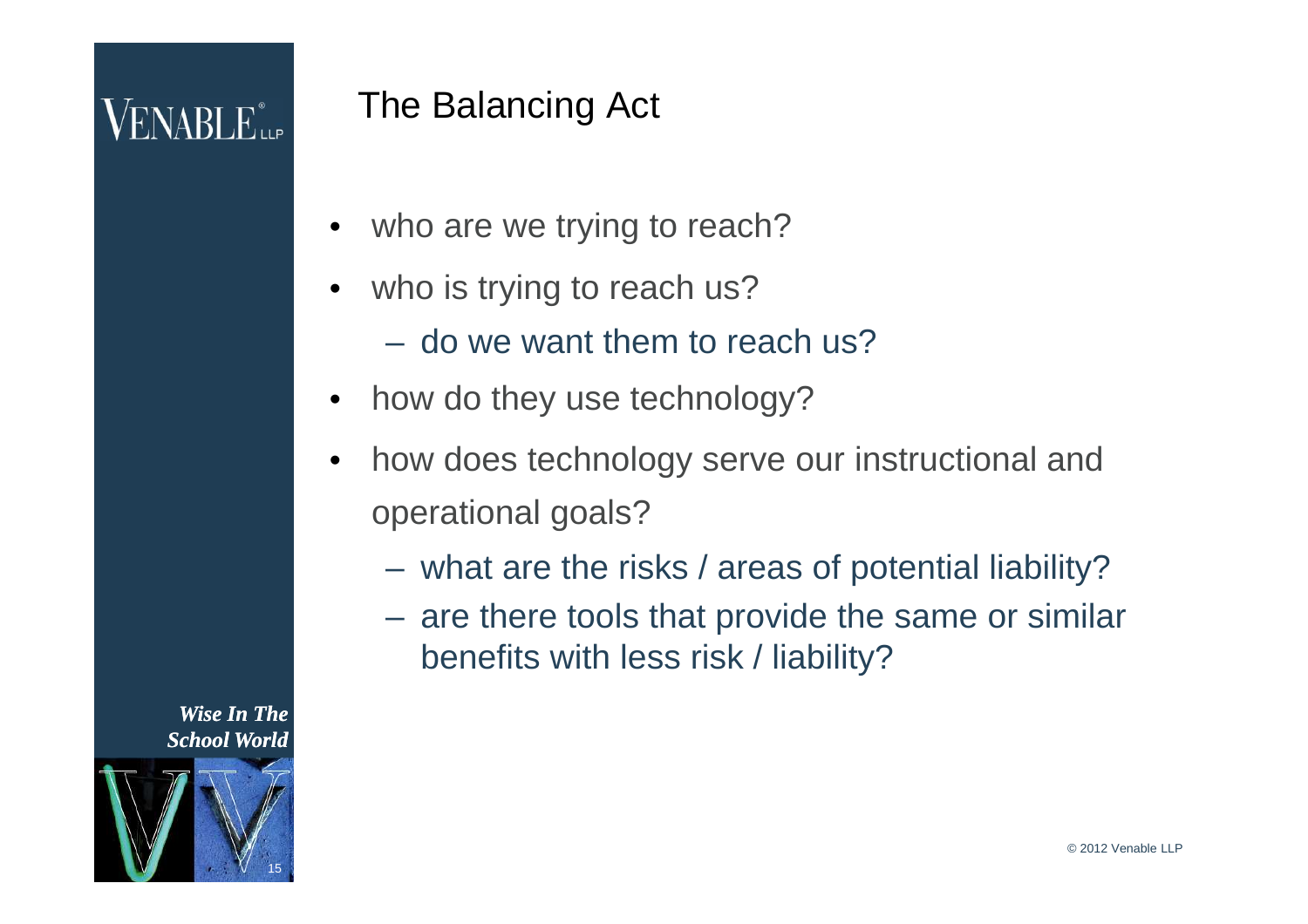## $\sf{VENABLE}^*_{\sf{LP}}$

### The Balancing Act

- who are we trying to reach?
- who is trying to reach us?
	- do we want them to reach us?
- how do they use technology?
- how does technology serve our instructional and operational goals?
	- what are the risks / areas of potential liability?
	- are there tools that provide the same or similar benefits with less risk / liability?



15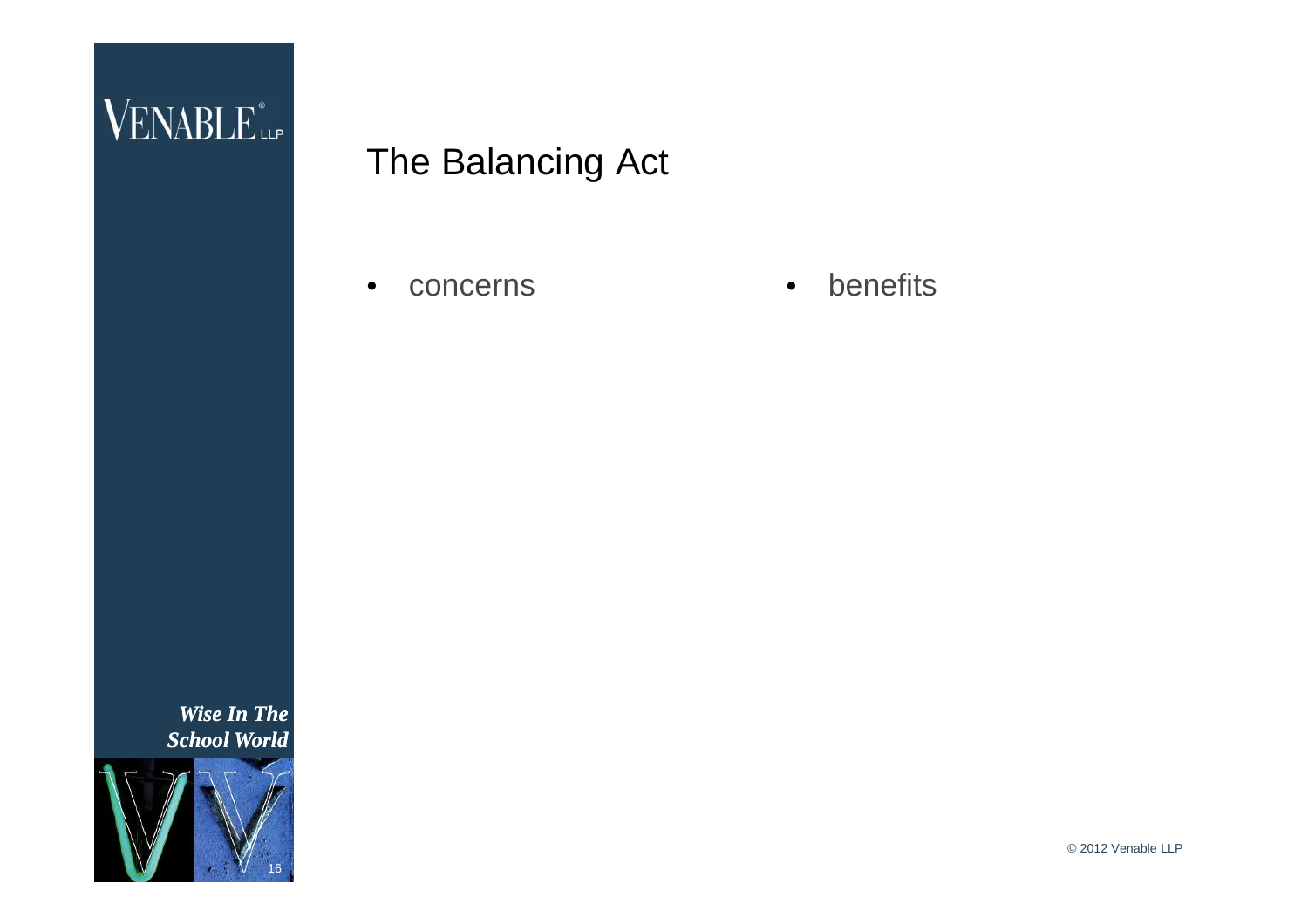

#### The Balancing Act

• concerns • benefits

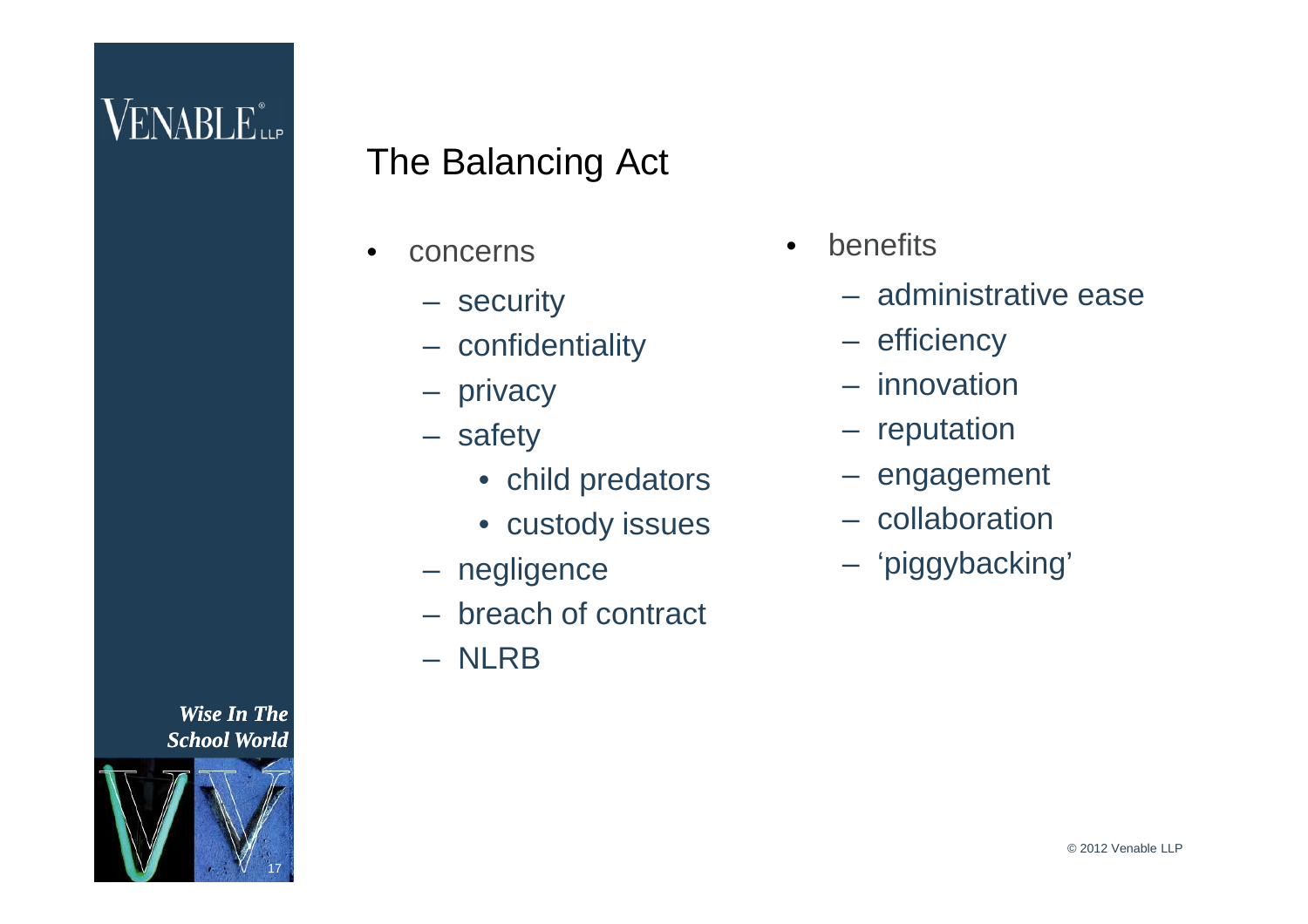

### The Balancing Act

- **concerns** 
	- security
	- confidentiality
	- privacy
	- safety
		- child predators
		- custody issues
	- negligence
	- breach of contract
	- NLRB
- **benefits** 
	- administrative ease
	- efficiency
	- innovation
	- reputation
	- engagement
	- collaboration
	- 'piggybacking'

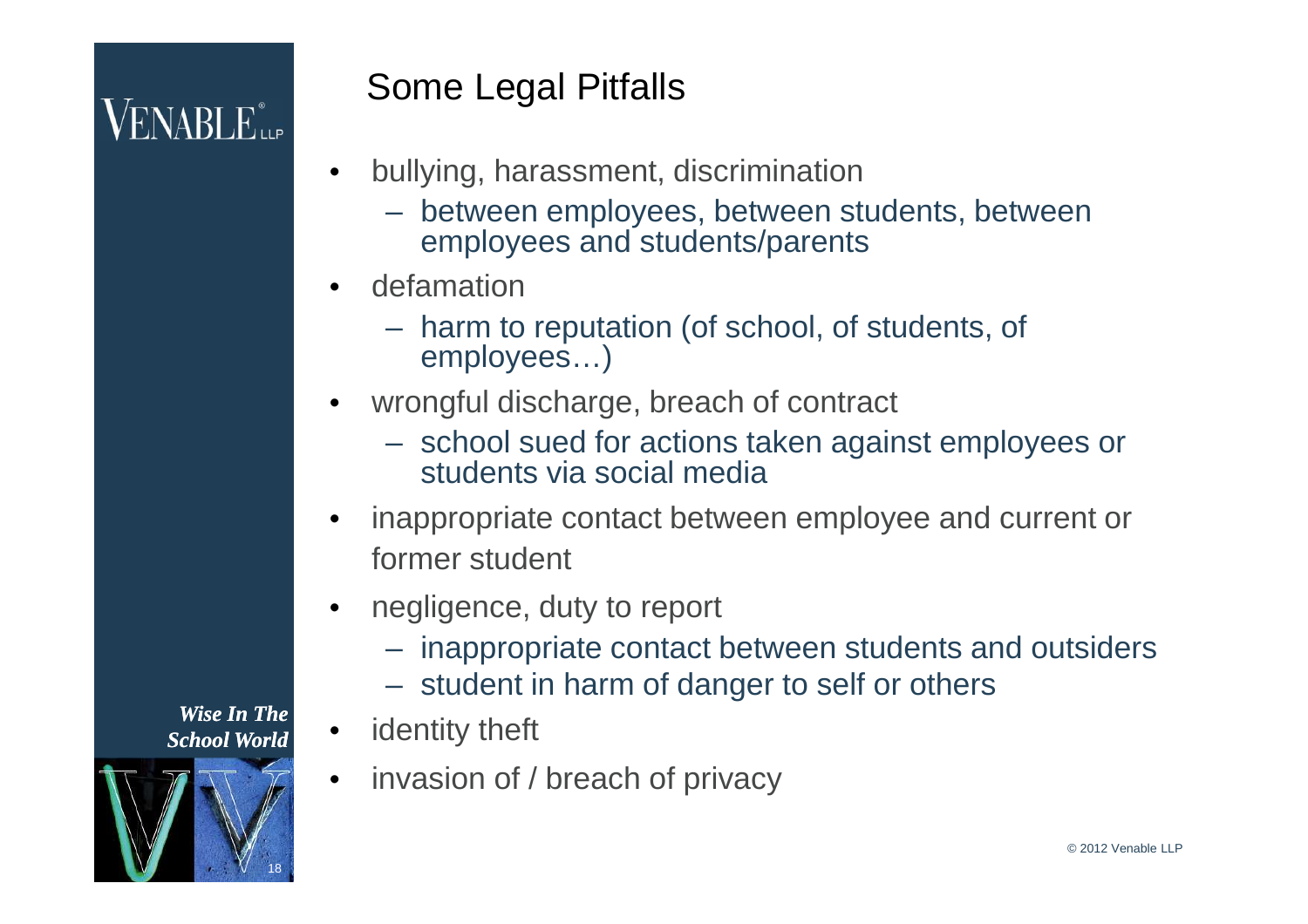# $VENABLE_{\sf LLP}^*$

### Some Legal Pitfalls

- bullying, harassment, discrimination
	- between employees, between students, between employees and students/parents
- defamation
	- harm to reputation (of school, of students, of employees…)
- wrongful discharge, breach of contract
	- school sued for actions taken against employees or students via social media
- inappropriate contact between employee and current or former student
- negligence, duty to report
	- inappropriate contact between students and outsiders
	- student in harm of danger to self or others
- identity theft
- invasion of / breach of privacy

*Wise In The School World*

18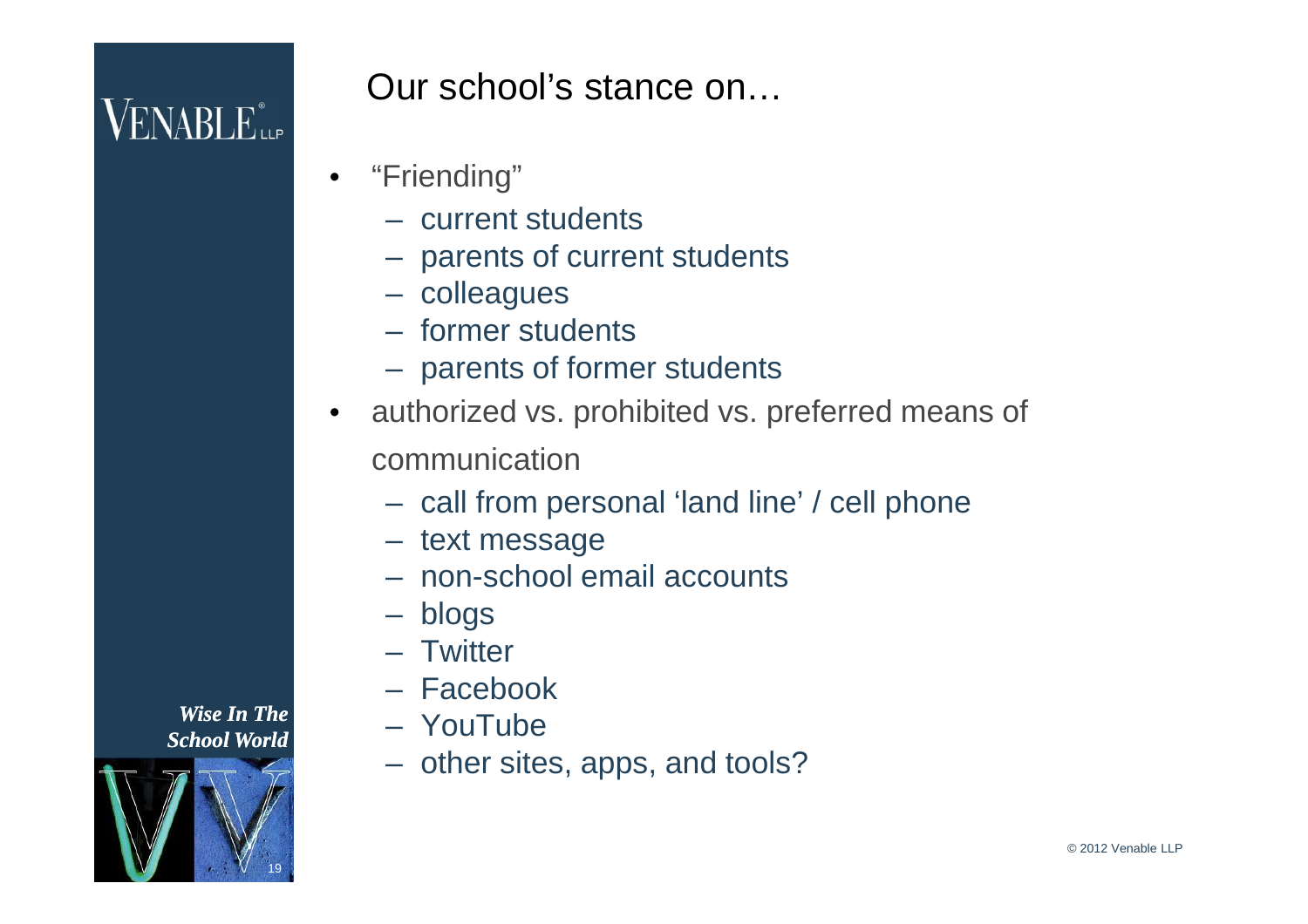

Our school's stance on…

- "Friending"
	- current students
	- parents of current students
	- colleagues
	- former students
	- parents of former students
- authorized vs. prohibited vs. preferred means of communication
	- call from personal 'land line' / cell phone
	- text message
	- non-school email accounts
	- blogs
	- Twitter
	- Facebook
	- YouTube
	- other sites, apps, and tools?

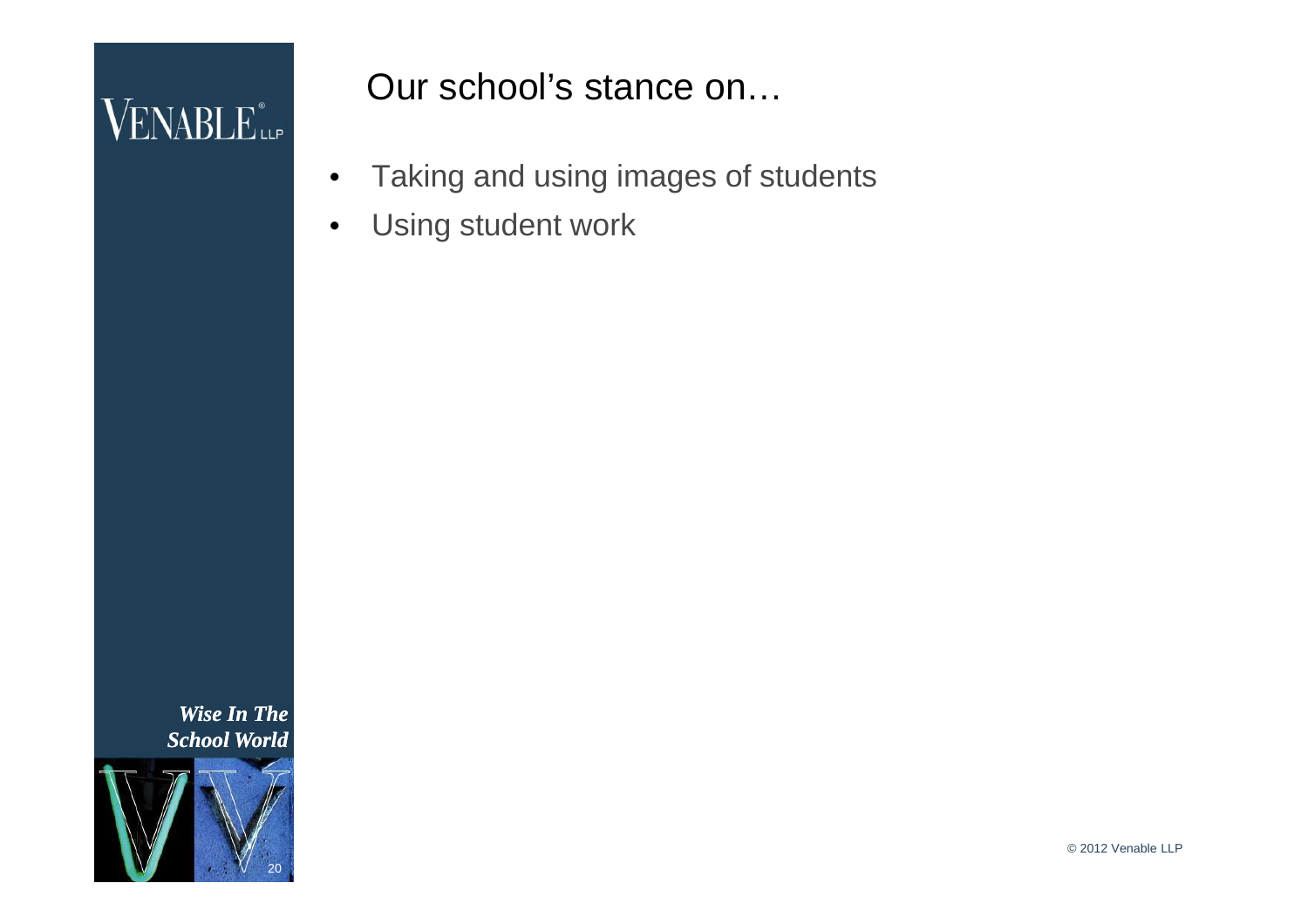

Our school's stance on…

- Taking and using images of students
- Using student work

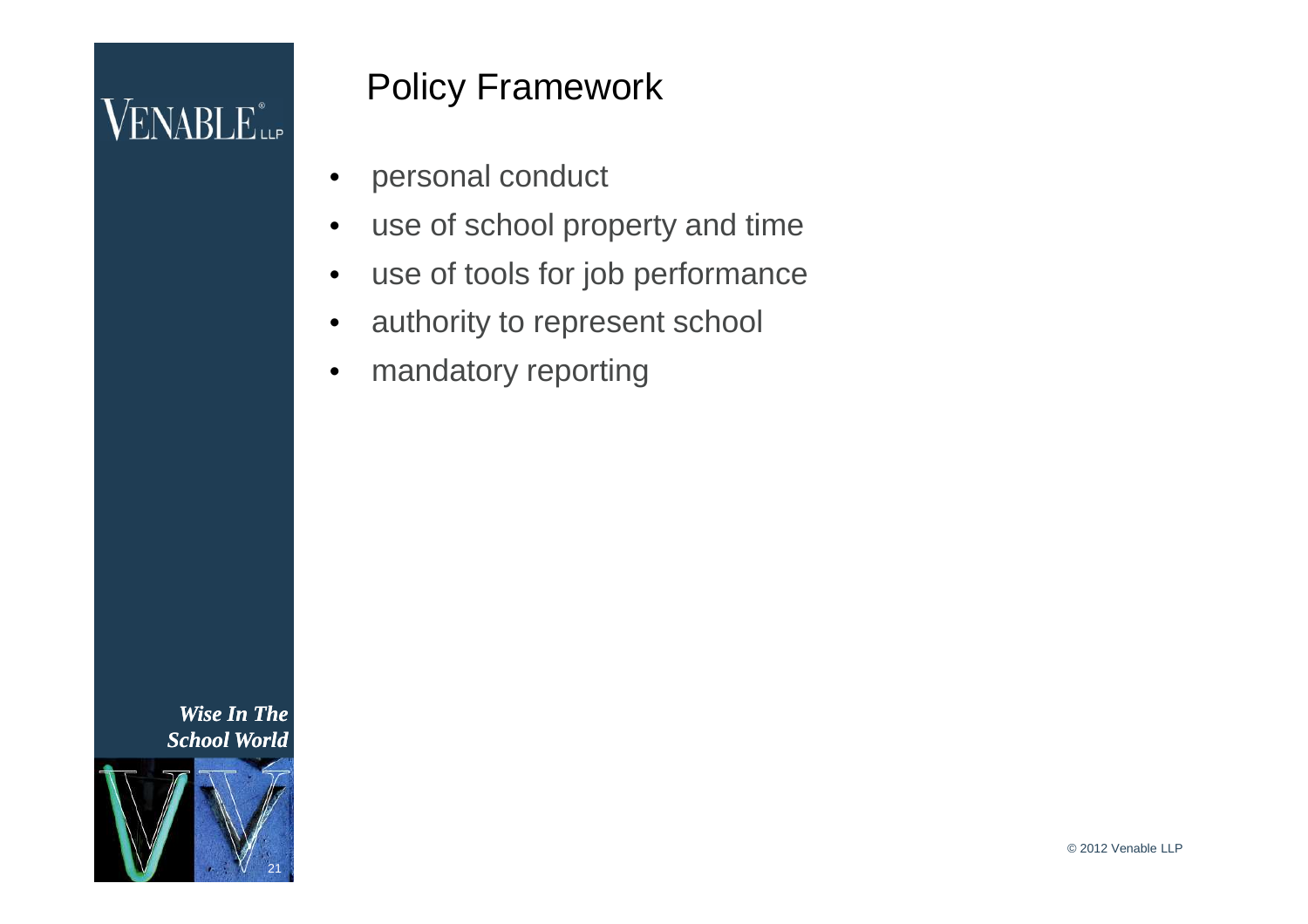

#### Policy Framework

- personal conduct
- use of school property and time
- use of tools for job performance
- authority to represent school
- mandatory reporting

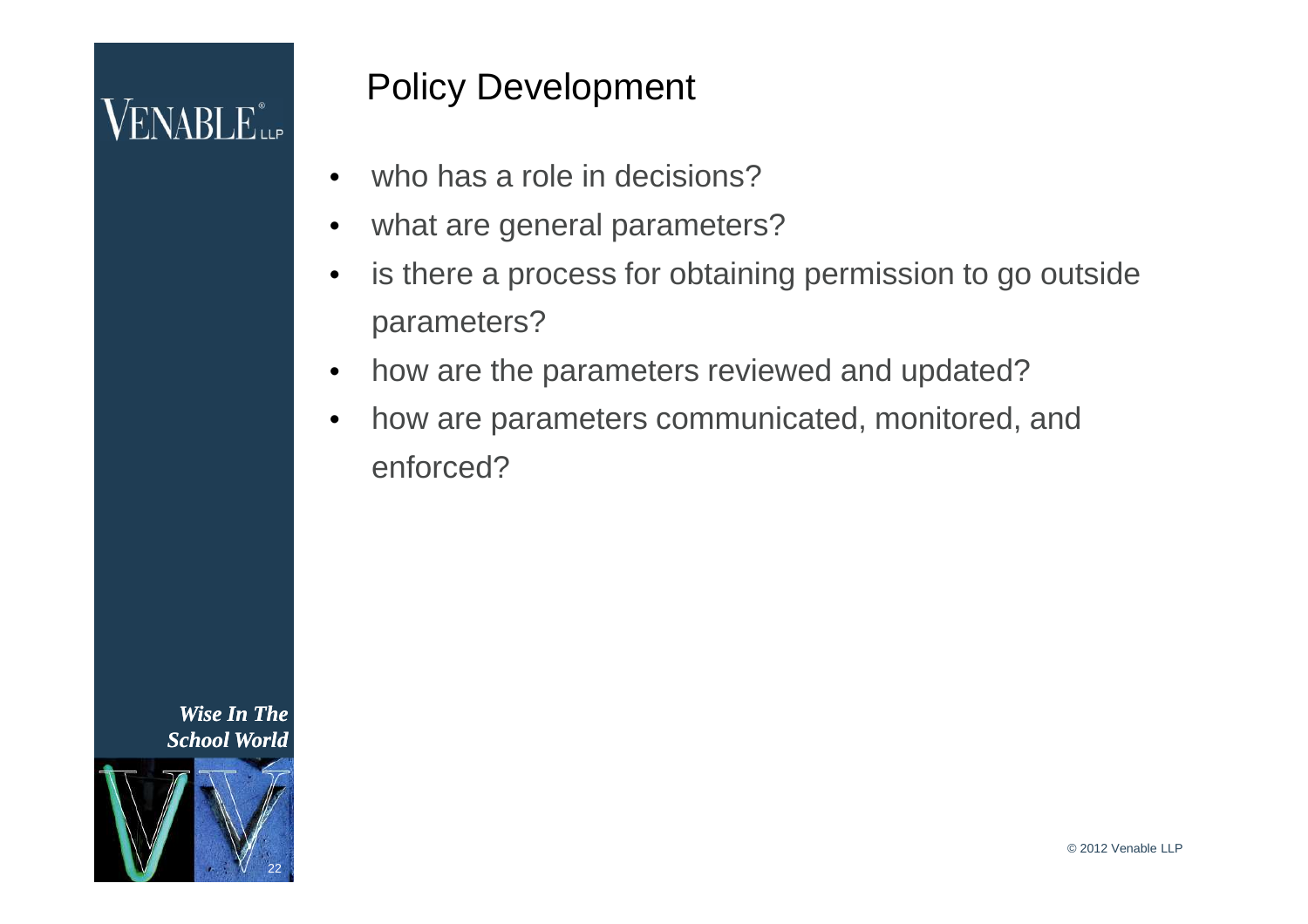

#### Policy Development

- who has a role in decisions?
- what are general parameters?
- is there a process for obtaining permission to go outside parameters?
- how are the parameters reviewed and updated?
- how are parameters communicated, monitored, and enforced?

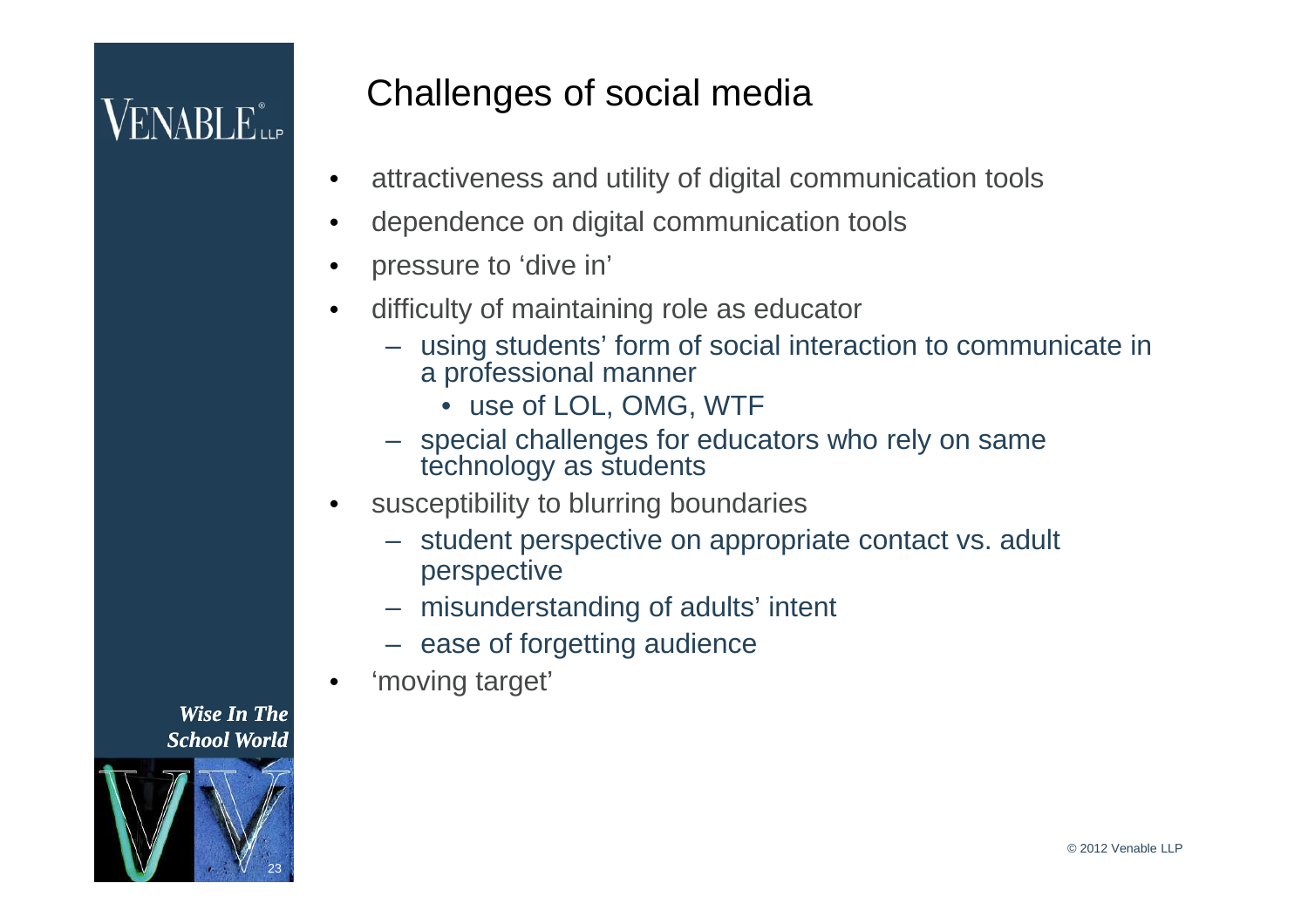# $\mathsf{VENABLE}^*_{\mathsf{LP}}$

### Challenges of social media

- attractiveness and utility of digital communication tools
- dependence on digital communication tools
- pressure to 'dive in'
- difficulty of maintaining role as educator
	- using students' form of social interaction to communicate in a professional manner
		- use of LOL, OMG, WTF
	- special challenges for educators who rely on same technology as students
- susceptibility to blurring boundaries
	- student perspective on appropriate contact vs. adult perspective
	- misunderstanding of adults' intent
	- ease of forgetting audience
- 'moving target'

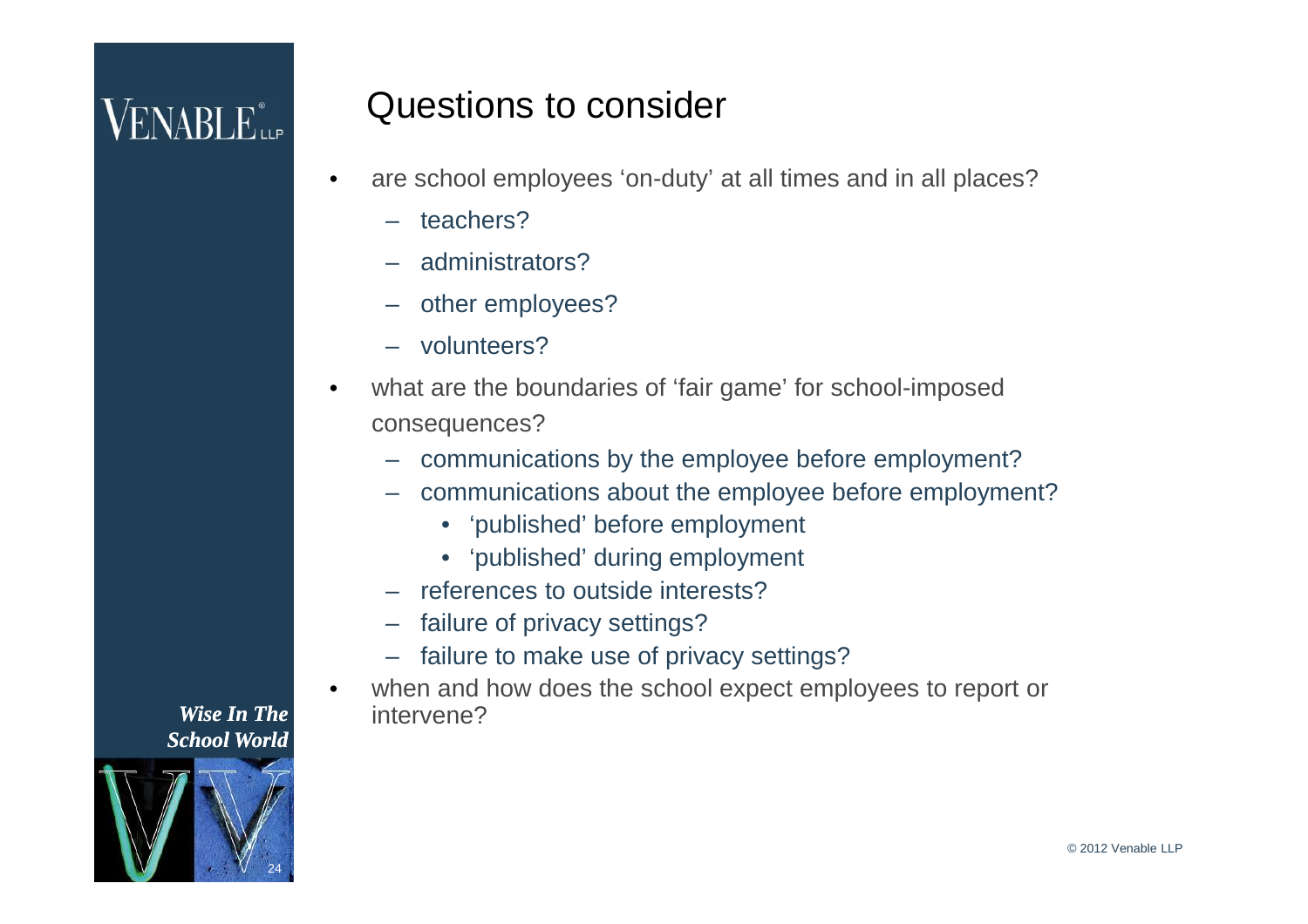## $\sf{VENABLE}^*_{\sf{LP}}$

#### Questions to consider

- are school employees 'on-duty' at all times and in all places?
	- teachers?
	- administrators?
	- other employees?
	- volunteers?
- what are the boundaries of 'fair game' for school-imposed consequences?
	- communications by the employee before employment?
	- communications about the employee before employment?
		- 'published' before employment
		- 'published' during employment
	- references to outside interests?
	- failure of privacy settings?
	- failure to make use of privacy settings?
- when and how does the school expect employees to report or intervene?

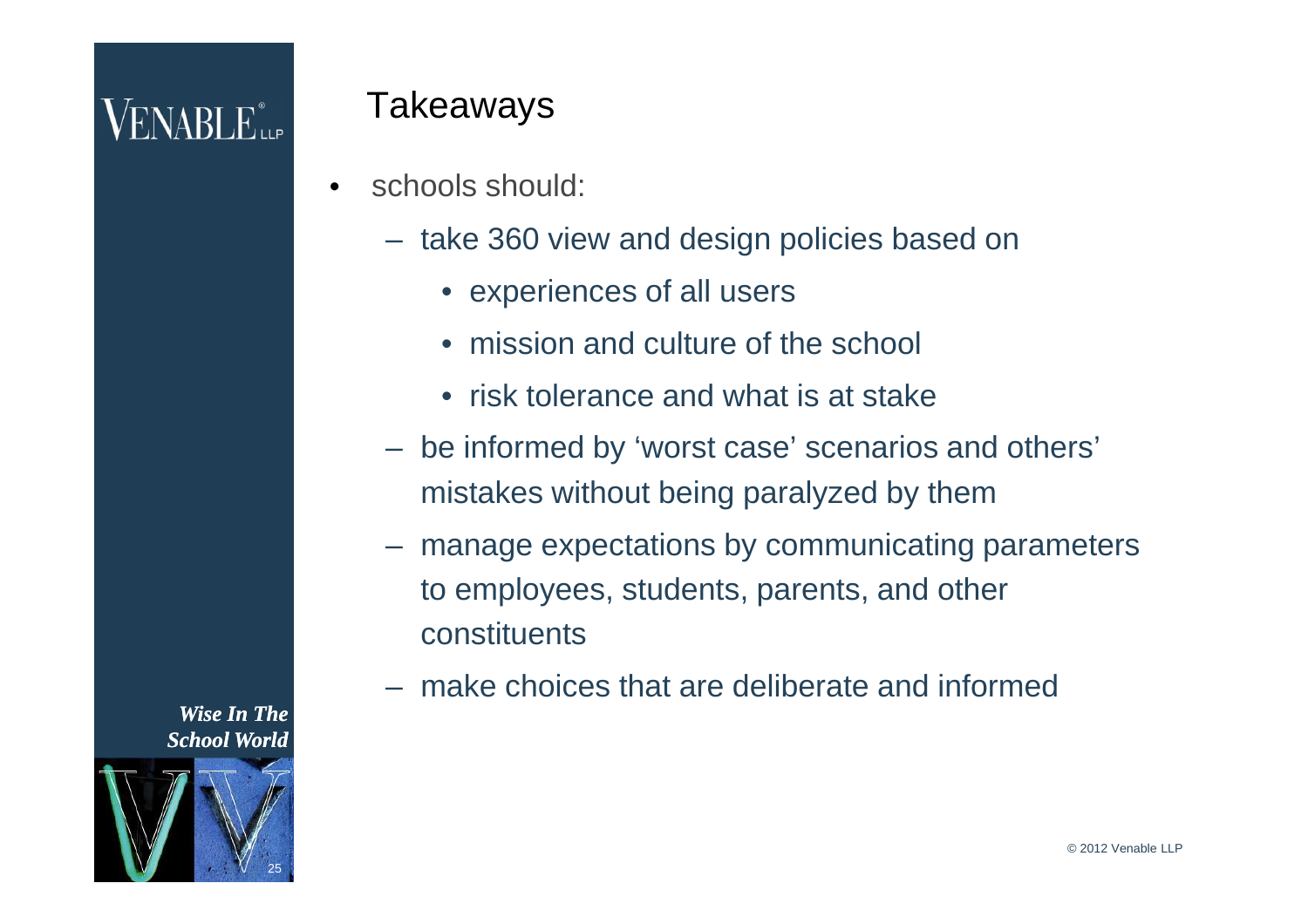## $VENABLE_{\scriptscriptstyle{\text{LLP}}}^*$

#### Takeaways

- schools should:
	- take 360 view and design policies based on
		- experiences of all users
		- mission and culture of the school
		- risk tolerance and what is at stake
	- be informed by 'worst case' scenarios and others' mistakes without being paralyzed by them
	- manage expectations by communicating parameters to employees, students, parents, and other constituents
	- make choices that are deliberate and informed

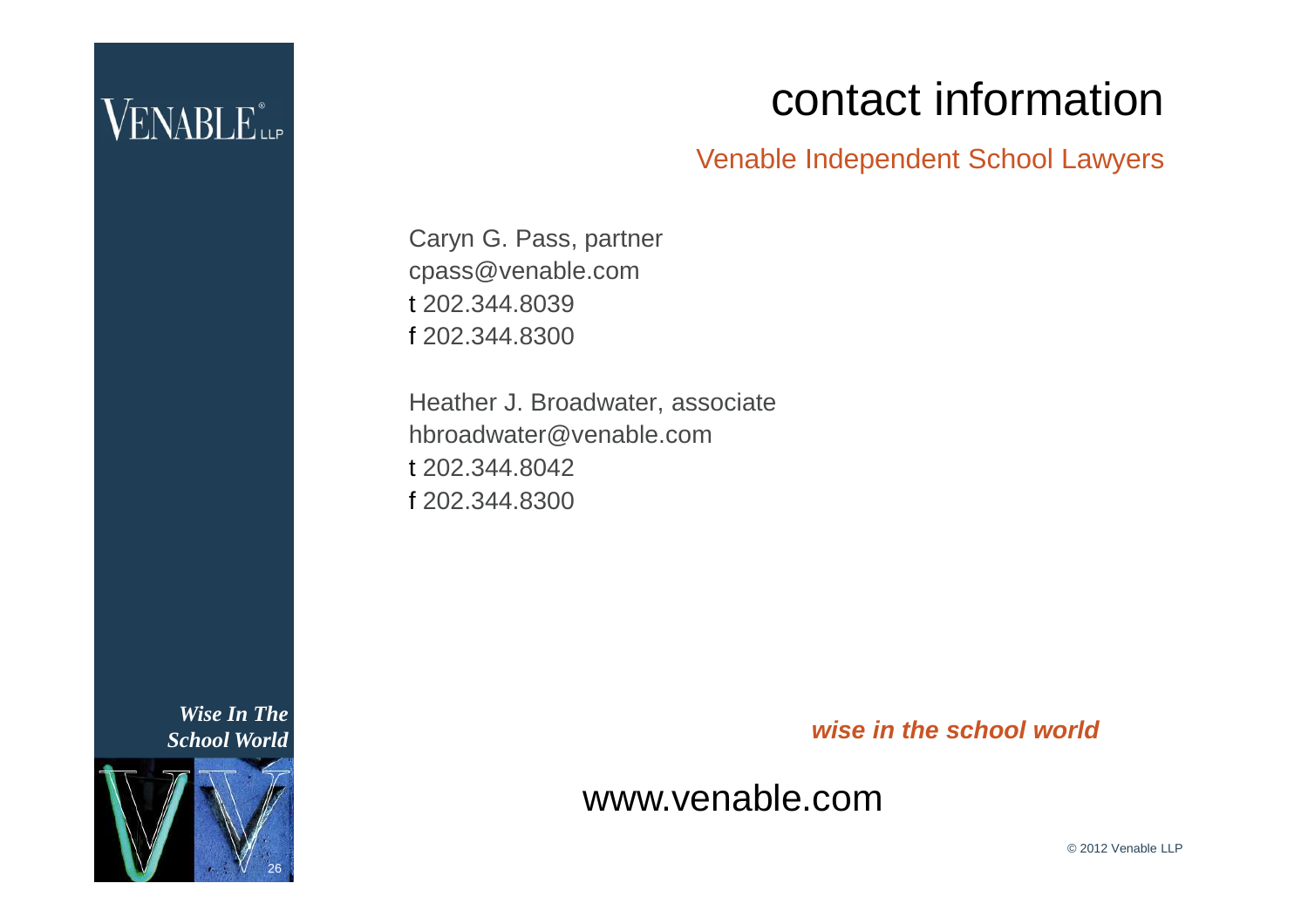### $\rm VENABLE$

### contact information

Venable Independent School Lawyers

Caryn G. Pass, partner cpass@venable.com t 202.344.8039 f 202.344.8300

Heather J. Broadwater, associate hbroadwater@venable.com t 202.344.8042 f 202.344.8300

*wise in the school world*

www.venable.com